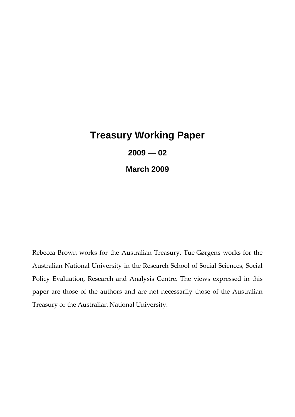# **Treasury Working Paper 2009 — 02**

**March 2009** 

Rebecca Brown works for the Australian Treasury. Tue Gørgens works for the Australian National University in the Research School of Social Sciences, Social Policy Evaluation, Research and Analysis Centre. The views expressed in this paper are those of the authors and are not necessarily those of the Australian Treasury or the Australian National University.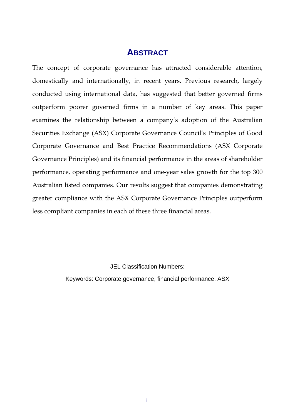### **ABSTRACT**

The concept of corporate governance has attracted considerable attention, domestically and internationally, in recent years. Previous research, largely conducted using international data, has suggested that better governed firms outperform poorer governed firms in a number of key areas. This paper examines the relationship between a company's adoption of the Australian Securities Exchange (ASX) Corporate Governance Council's Principles of Good Corporate Governance and Best Practice Recommendations (ASX Corporate Governance Principles) and its financial performance in the areas of shareholder performance, operating performance and one‐year sales growth for the top 300 Australian listed companies. Our results suggest that companies demonstrating greater compliance with the ASX Corporate Governance Principles outperform less compliant companies in each of these three financial areas.

JEL Classification Numbers:

Keywords: Corporate governance, financial performance, ASX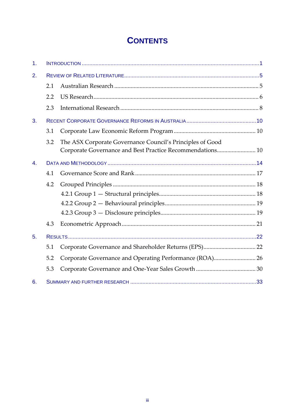# **CONTENTS**

| 1 <sub>1</sub> |     |                                                                                                                        |
|----------------|-----|------------------------------------------------------------------------------------------------------------------------|
| 2.             |     |                                                                                                                        |
|                | 2.1 |                                                                                                                        |
|                | 2.2 |                                                                                                                        |
|                | 2.3 |                                                                                                                        |
| 3.             |     |                                                                                                                        |
|                | 3.1 |                                                                                                                        |
|                | 3.2 | The ASX Corporate Governance Council's Principles of Good<br>Corporate Governance and Best Practice Recommendations 10 |
| $\mathbf{4}$ . |     |                                                                                                                        |
|                | 4.1 |                                                                                                                        |
|                | 4.2 |                                                                                                                        |
|                |     |                                                                                                                        |
|                |     |                                                                                                                        |
|                |     |                                                                                                                        |
|                | 4.3 |                                                                                                                        |
| 5.             |     |                                                                                                                        |
|                | 5.1 |                                                                                                                        |
|                | 5.2 | Corporate Governance and Operating Performance (ROA) 26                                                                |
|                | 5.3 |                                                                                                                        |
| 6.             |     |                                                                                                                        |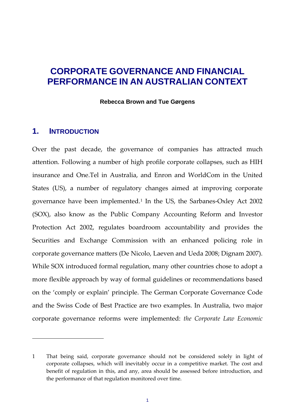# **CORPORATE GOVERNANCE AND FINANCIAL PERFORMANCE IN AN AUSTRALIAN CONTEXT**

**Rebecca Brown and Tue Gørgens** 

#### <span id="page-3-0"></span>**1. INTRODUCTION**

Over the past decade, the governance of companies has attracted much attention. Following a number of high profile corporate collapses, such as HIH insurance and One.Tel in Australia, and Enron and WorldCom in the United States (US), a number of regulatory changes aimed at improving corporate governance have been implemented.<sup>[1](#page-3-1)</sup> In the US, the Sarbanes-Oxley Act 2002 (SOX), also know as the Public Company Accounting Reform and Investor Protection Act 2002, regulates boardroom accountability and provides the Securities and Exchange Commission with an enhanced policing role in corporate governance matters (De Nicolo, Laeven and Ueda 2008; Dignam 2007). While SOX introduced formal regulation, many other countries chose to adopt a more flexible approach by way of formal guidelines or recommendations based on the 'comply or explain' principle. The German Corporate Governance Code and the Swiss Code of Best Practice are two examples. In Australia, two major corporate governance reforms were implemented: *the Corporate Law Economic*

<span id="page-3-1"></span><sup>1</sup> That being said, corporate governance should not be considered solely in light of corporate collapses, which will inevitably occur in a competitive market. The cost and benefit of regulation in this, and any, area should be assessed before introduction, and the performance of that regulation monitored over time.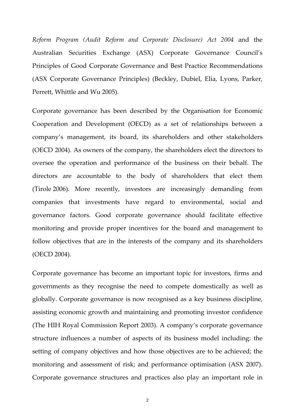*Reform Program (Audit Reform and Corporate Disclosure) Act 2004* and the Australian Securities Exchange (ASX) Corporate Governance Council's Principles of Good Corporate Governance and Best Practice Recommendations (ASX Corporate Governance Principles) (Beckley, Dubiel, Elia, Lyons, Parker, Perrett, Whittle and Wu 2005).

Corporate governance has been described by the Organisation for Economic Cooperation and Development (OECD) as a set of relationships between a company's management, its board, its shareholders and other stakeholders (OECD 2004). As owners of the company, the shareholders elect the directors to oversee the operation and performance of the business on their behalf. The directors are accountable to the body of shareholders that elect them (Tirole 2006). More recently, investors are increasingly demanding from companies that investments have regard to environmental, social and governance factors. Good corporate governance should facilitate effective monitoring and provide proper incentives for the board and management to follow objectives that are in the interests of the company and its shareholders (OECD 2004).

Corporate governance has become an important topic for investors, firms and governments as they recognise the need to compete domestically as well as globally. Corporate governance is now recognised as a key business discipline, assisting economic growth and maintaining and promoting investor confidence (The HIH Royal Commission Report 2003). A company's corporate governance structure influences a number of aspects of its business model including: the setting of company objectives and how those objectives are to be achieved; the monitoring and assessment of risk; and performance optimisation (ASX 2007). Corporate governance structures and practices also play an important role in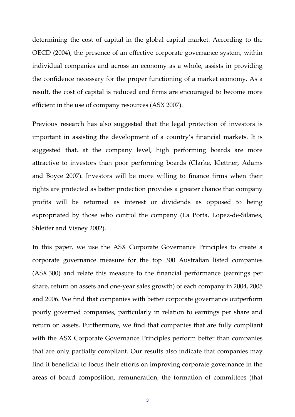determining the cost of capital in the global capital market. According to the OECD (2004), the presence of an effective corporate governance system, within individual companies and across an economy as a whole, assists in providing the confidence necessary for the proper functioning of a market economy. As a result, the cost of capital is reduced and firms are encouraged to become more efficient in the use of company resources (ASX 2007).

Previous research has also suggested that the legal protection of investors is important in assisting the development of a country's financial markets. It is suggested that, at the company level, high performing boards are more attractive to investors than poor performing boards (Clarke, Klettner, Adams and Boyce 2007). Investors will be more willing to finance firms when their rights are protected as better protection provides a greater chance that company profits will be returned as interest or dividends as opposed to being expropriated by those who control the company (La Porta, Lopez‐de‐Silanes, Shleifer and Visney 2002).

In this paper, we use the ASX Corporate Governance Principles to create a corporate governance measure for the top 300 Australian listed companies (ASX 300) and relate this measure to the financial performance (earnings per share, return on assets and one‐year sales growth) of each company in 2004, 2005 and 2006. We find that companies with better corporate governance outperform poorly governed companies, particularly in relation to earnings per share and return on assets. Furthermore, we find that companies that are fully compliant with the ASX Corporate Governance Principles perform better than companies that are only partially compliant. Our results also indicate that companies may find it beneficial to focus their efforts on improving corporate governance in the areas of board composition, remuneration, the formation of committees (that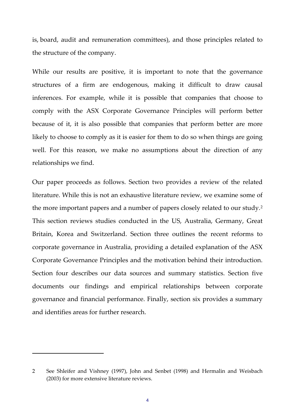is, board, audit and remuneration committees), and those principles related to the structure of the company.

While our results are positive, it is important to note that the governance structures of a firm are endogenous, making it difficult to draw causal inferences. For example, while it is possible that companies that choose to comply with the ASX Corporate Governance Principles will perform better because of it, it is also possible that companies that perform better are more likely to choose to comply as it is easier for them to do so when things are going well. For this reason, we make no assumptions about the direction of any relationships we find.

Our paper proceeds as follows. Section two provides a review of the related literature. While this is not an exhaustive literature review, we examine some of the more important papers and a number of papers closely related to our study.[2](#page-6-0) This section reviews studies conducted in the US, Australia, Germany, Great Britain, Korea and Switzerland. Section three outlines the recent reforms to corporate governance in Australia, providing a detailed explanation of the ASX Corporate Governance Principles and the motivation behind their introduction. Section four describes our data sources and summary statistics. Section five documents our findings and empirical relationships between corporate governance and financial performance. Finally, section six provides a summary and identifies areas for further research.

<span id="page-6-0"></span><sup>2</sup> See Shleifer and Vishney (1997), John and Senbet (1998) and Hermalin and Weisbach (2003) for more extensive literature reviews.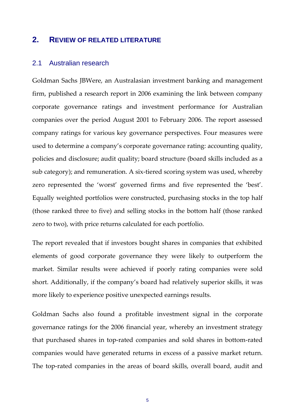#### <span id="page-7-0"></span>**2. REVIEW OF RELATED LITERATURE**

#### <span id="page-7-1"></span>2.1 Australian research

Goldman Sachs JBWere, an Australasian investment banking and management firm, published a research report in 2006 examining the link between company corporate governance ratings and investment performance for Australian companies over the period August 2001 to February 2006. The report assessed company ratings for various key governance perspectives. Four measures were used to determine a company's corporate governance rating: accounting quality, policies and disclosure; audit quality; board structure (board skills included as a sub category); and remuneration. A six‐tiered scoring system was used, whereby zero represented the 'worst' governed firms and five represented the 'best'. Equally weighted portfolios were constructed, purchasing stocks in the top half (those ranked three to five) and selling stocks in the bottom half (those ranked zero to two), with price returns calculated for each portfolio.

The report revealed that if investors bought shares in companies that exhibited elements of good corporate governance they were likely to outperform the market. Similar results were achieved if poorly rating companies were sold short. Additionally, if the company's board had relatively superior skills, it was more likely to experience positive unexpected earnings results.

Goldman Sachs also found a profitable investment signal in the corporate governance ratings for the 2006 financial year, whereby an investment strategy that purchased shares in top‐rated companies and sold shares in bottom‐rated companies would have generated returns in excess of a passive market return. The top-rated companies in the areas of board skills, overall board, audit and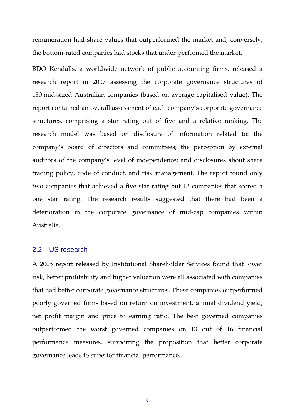remuneration had share values that outperformed the market and, conversely, the bottom‐rated companies had stocks that under‐performed the market.

BDO Kendalls, a worldwide network of public accounting firms, released a research report in 2007 assessing the corporate governance structures of 150 mid‐sized Australian companies (based on average capitalised value). The report contained an overall assessment of each company's corporate governance structures, comprising a star rating out of five and a relative ranking. The research model was based on disclosure of information related to: the company's board of directors and committees; the perception by external auditors of the company's level of independence; and disclosures about share trading policy, code of conduct, and risk management. The report found only two companies that achieved a five star rating but 13 companies that scored a one star rating. The research results suggested that there had been a deterioration in the corporate governance of mid‐cap companies within Australia.

#### <span id="page-8-0"></span>2.2 US research

A 2005 report released by Institutional Shareholder Services found that lower risk, better profitability and higher valuation were all associated with companies that had better corporate governance structures. These companies outperformed poorly governed firms based on return on investment, annual dividend yield, net profit margin and price to earning ratio. The best governed companies outperformed the worst governed companies on 13 out of 16 financial performance measures, supporting the proposition that better corporate governance leads to superior financial performance.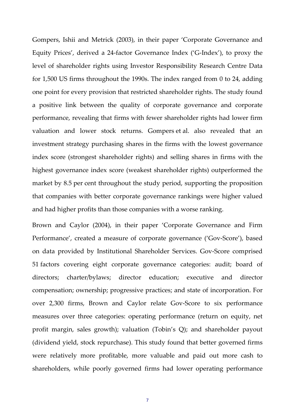Gompers, Ishii and Metrick (2003), in their paper 'Corporate Governance and Equity Prices', derived a 24‐factor Governance Index ('G‐Index'), to proxy the level of shareholder rights using Investor Responsibility Research Centre Data for 1,500 US firms throughout the 1990s. The index ranged from 0 to 24, adding one point for every provision that restricted shareholder rights. The study found a positive link between the quality of corporate governance and corporate performance, revealing that firms with fewer shareholder rights had lower firm valuation and lower stock returns. Gompers et al. also revealed that an investment strategy purchasing shares in the firms with the lowest governance index score (strongest shareholder rights) and selling shares in firms with the highest governance index score (weakest shareholder rights) outperformed the market by 8.5 per cent throughout the study period, supporting the proposition that companies with better corporate governance rankings were higher valued and had higher profits than those companies with a worse ranking.

Brown and Caylor (2004), in their paper 'Corporate Governance and Firm Performance', created a measure of corporate governance ('Gov‐Score'), based on data provided by Institutional Shareholder Services. Gov‐Score comprised 51 factors covering eight corporate governance categories: audit; board of directors; charter/bylaws; director education; executive and director compensation; ownership; progressive practices; and state of incorporation. For over 2,300 firms, Brown and Caylor relate Gov‐Score to six performance measures over three categories: operating performance (return on equity, net profit margin, sales growth); valuation (Tobin's Q); and shareholder payout (dividend yield, stock repurchase). This study found that better governed firms were relatively more profitable, more valuable and paid out more cash to shareholders, while poorly governed firms had lower operating performance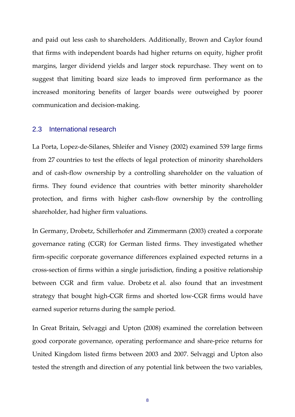and paid out less cash to shareholders. Additionally, Brown and Caylor found that firms with independent boards had higher returns on equity, higher profit margins, larger dividend yields and larger stock repurchase. They went on to suggest that limiting board size leads to improved firm performance as the increased monitoring benefits of larger boards were outweighed by poorer communication and decision‐making.

#### <span id="page-10-0"></span>2.3 International research

La Porta, Lopez‐de‐Silanes, Shleifer and Visney (2002) examined 539 large firms from 27 countries to test the effects of legal protection of minority shareholders and of cash‐flow ownership by a controlling shareholder on the valuation of firms. They found evidence that countries with better minority shareholder protection, and firms with higher cash‐flow ownership by the controlling shareholder, had higher firm valuations.

In Germany, Drobetz, Schillerhofer and Zimmermann (2003) created a corporate governance rating (CGR) for German listed firms. They investigated whether firm‐specific corporate governance differences explained expected returns in a cross‐section of firms within a single jurisdiction, finding a positive relationship between CGR and firm value. Drobetz et al. also found that an investment strategy that bought high‐CGR firms and shorted low‐CGR firms would have earned superior returns during the sample period.

In Great Britain, Selvaggi and Upton (2008) examined the correlation between good corporate governance, operating performance and share‐price returns for United Kingdom listed firms between 2003 and 2007. Selvaggi and Upton also tested the strength and direction of any potential link between the two variables,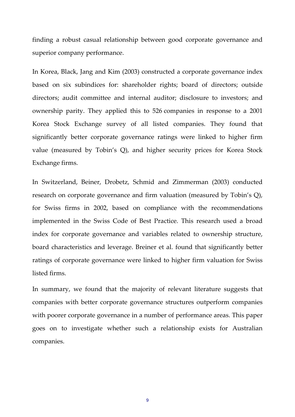finding a robust casual relationship between good corporate governance and superior company performance.

In Korea, Black, Jang and Kim (2003) constructed a corporate governance index based on six subindices for: shareholder rights; board of directors; outside directors; audit committee and internal auditor; disclosure to investors; and ownership parity. They applied this to 526 companies in response to a 2001 Korea Stock Exchange survey of all listed companies. They found that significantly better corporate governance ratings were linked to higher firm value (measured by Tobin's Q), and higher security prices for Korea Stock Exchange firms.

In Switzerland, Beiner, Drobetz, Schmid and Zimmerman (2003) conducted research on corporate governance and firm valuation (measured by Tobin's Q), for Swiss firms in 2002, based on compliance with the recommendations implemented in the Swiss Code of Best Practice. This research used a broad index for corporate governance and variables related to ownership structure, board characteristics and leverage. Breiner et al. found that significantly better ratings of corporate governance were linked to higher firm valuation for Swiss listed firms.

In summary, we found that the majority of relevant literature suggests that companies with better corporate governance structures outperform companies with poorer corporate governance in a number of performance areas. This paper goes on to investigate whether such a relationship exists for Australian companies.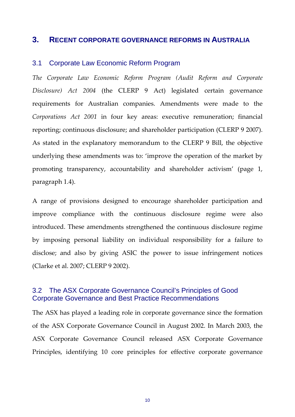#### <span id="page-12-0"></span>**3. RECENT CORPORATE GOVERNANCE REFORMS IN AUSTRALIA**

#### <span id="page-12-1"></span>3.1 Corporate Law Economic Reform Program

*The Corporate Law Economic Reform Program (Audit Reform and Corporate Disclosure) Act 2004* (the CLERP 9 Act) legislated certain governance requirements for Australian companies. Amendments were made to the *Corporations Act 2001* in four key areas: executive remuneration; financial reporting; continuous disclosure; and shareholder participation (CLERP 9 2007). As stated in the explanatory memorandum to the CLERP 9 Bill, the objective underlying these amendments was to: 'improve the operation of the market by promoting transparency, accountability and shareholder activism' (page 1, paragraph 1.4).

A range of provisions designed to encourage shareholder participation and improve compliance with the continuous disclosure regime were also introduced. These amendments strengthened the continuous disclosure regime by imposing personal liability on individual responsibility for a failure to disclose; and also by giving ASIC the power to issue infringement notices (Clarke et al. 2007; CLERP 9 2002).

#### <span id="page-12-2"></span>3.2 The ASX Corporate Governance Council's Principles of Good Corporate Governance and Best Practice Recommendations

The ASX has played a leading role in corporate governance since the formation of the ASX Corporate Governance Council in August 2002. In March 2003, the ASX Corporate Governance Council released ASX Corporate Governance Principles, identifying 10 core principles for effective corporate governance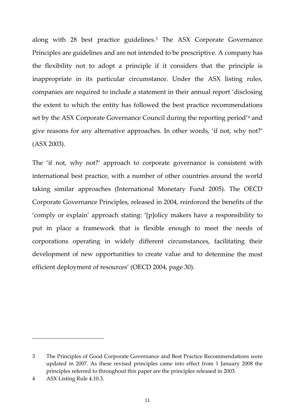along with 28 best practice guidelines.[3](#page-13-0) The ASX Corporate Governance Principles are guidelines and are not intended to be prescriptive. A company has the flexibility not to adopt a principle if it considers that the principle is inappropriate in its particular circumstance. Under the ASX listing rules, companies are required to include a statement in their annual report 'disclosing the extent to which the entity has followed the best practice recommendations set by the ASX Corporate Governance Council during the reporting period'[4](#page-13-1) and give reasons for any alternative approaches. In other words, 'if not, why not?' (ASX 2003).

The 'if not, why not?' approach to corporate governance is consistent with international best practice, with a number of other countries around the world taking similar approaches (International Monetary Fund 2005). The OECD Corporate Governance Principles, released in 2004, reinforced the benefits of the 'comply or explain' approach stating: '[p]olicy makers have a responsibility to put in place a framework that is flexible enough to meet the needs of corporations operating in widely different circumstances, facilitating their development of new opportunities to create value and to determine the most efficient deployment of resources' (OECD 2004, page 30).

<span id="page-13-0"></span><sup>3</sup> The Principles of Good Corporate Governance and Best Practice Recommendations were updated in 2007. As these revised principles came into effect from 1 January 2008 the principles referred to throughout this paper are the principles released in 2003.

<span id="page-13-1"></span><sup>4</sup> ASX Listing Rule 4.10.3.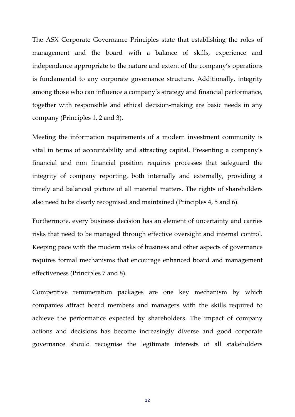The ASX Corporate Governance Principles state that establishing the roles of management and the board with a balance of skills, experience and independence appropriate to the nature and extent of the company's operations is fundamental to any corporate governance structure. Additionally, integrity among those who can influence a company's strategy and financial performance, together with responsible and ethical decision‐making are basic needs in any company (Principles 1, 2 and 3).

Meeting the information requirements of a modern investment community is vital in terms of accountability and attracting capital. Presenting a company's financial and non financial position requires processes that safeguard the integrity of company reporting, both internally and externally, providing a timely and balanced picture of all material matters. The rights of shareholders also need to be clearly recognised and maintained (Principles 4, 5 and 6).

Furthermore, every business decision has an element of uncertainty and carries risks that need to be managed through effective oversight and internal control. Keeping pace with the modern risks of business and other aspects of governance requires formal mechanisms that encourage enhanced board and management effectiveness (Principles 7 and 8).

Competitive remuneration packages are one key mechanism by which companies attract board members and managers with the skills required to achieve the performance expected by shareholders. The impact of company actions and decisions has become increasingly diverse and good corporate governance should recognise the legitimate interests of all stakeholders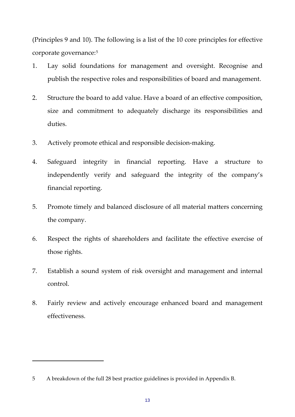(Principles 9 and 10). The following is a list of the 10 core principles for effective corporate governance:[5](#page-15-0)

- 1. Lay solid foundations for management and oversight. Recognise and publish the respective roles and responsibilities of board and management.
- 2. Structure the board to add value. Have a board of an effective composition, size and commitment to adequately discharge its responsibilities and duties.
- 3. Actively promote ethical and responsible decision‐making.
- 4. Safeguard integrity in financial reporting. Have a structure to independently verify and safeguard the integrity of the company's financial reporting.
- 5. Promote timely and balanced disclosure of all material matters concerning the company.
- 6. Respect the rights of shareholders and facilitate the effective exercise of those rights.
- 7. Establish a sound system of risk oversight and management and internal control.
- 8. Fairly review and actively encourage enhanced board and management effectiveness.

<span id="page-15-0"></span><sup>5</sup> A breakdown of the full 28 best practice guidelines is provided in Appendix B.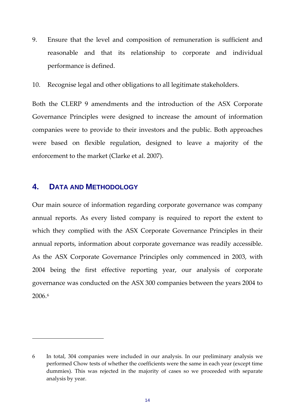9. Ensure that the level and composition of remuneration is sufficient and reasonable and that its relationship to corporate and individual performance is defined.

10. Recognise legal and other obligations to all legitimate stakeholders.

Both the CLERP 9 amendments and the introduction of the ASX Corporate Governance Principles were designed to increase the amount of information companies were to provide to their investors and the public. Both approaches were based on flexible regulation, designed to leave a majority of the enforcement to the market (Clarke et al. 2007).

#### <span id="page-16-0"></span>**4. DATA AND METHODOLOGY**

Our main source of information regarding corporate governance was company annual reports. As every listed company is required to report the extent to which they complied with the ASX Corporate Governance Principles in their annual reports, information about corporate governance was readily accessible. As the ASX Corporate Governance Principles only commenced in 2003, with 2004 being the first effective reporting year, our analysis of corporate governance was conducted on the ASX 300 companies between the years 2004 to 2006.[6](#page-16-1)

<span id="page-16-1"></span><sup>6</sup> In total, 304 companies were included in our analysis. In our preliminary analysis we performed Chow tests of whether the coefficients were the same in each year (except time dummies). This was rejected in the majority of cases so we proceeded with separate analysis by year.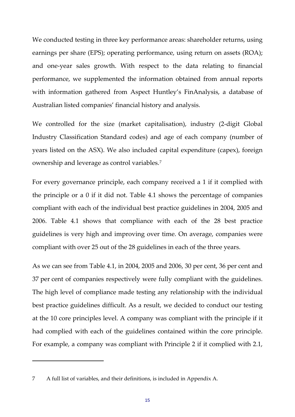We conducted testing in three key performance areas: shareholder returns, using earnings per share (EPS); operating performance, using return on assets (ROA); and one‐year sales growth. With respect to the data relating to financial performance, we supplemented the information obtained from annual reports with information gathered from Aspect Huntley's FinAnalysis, a database of Australian listed companies' financial history and analysis.

We controlled for the size (market capitalisation), industry (2‐digit Global Industry Classification Standard codes) and age of each company (number of years listed on the ASX). We also included capital expenditure (capex), foreign ownership and leverage as control variables.[7](#page-17-0)

For every governance principle, each company received a 1 if it complied with the principle or a 0 if it did not. Table 4.1 shows the percentage of companies compliant with each of the individual best practice guidelines in 2004, 2005 and 2006. Table 4.1 shows that compliance with each of the 28 best practice guidelines is very high and improving over time. On average, companies were compliant with over 25 out of the 28 guidelines in each of the three years.

As we can see from Table 4.1, in 2004, 2005 and 2006, 30 per cent, 36 per cent and 37 per cent of companies respectively were fully compliant with the guidelines. The high level of compliance made testing any relationship with the individual best practice guidelines difficult. As a result, we decided to conduct our testing at the 10 core principles level. A company was compliant with the principle if it had complied with each of the guidelines contained within the core principle. For example, a company was compliant with Principle 2 if it complied with 2.1,

<span id="page-17-0"></span><sup>7</sup> A full list of variables, and their definitions, is included in Appendix A.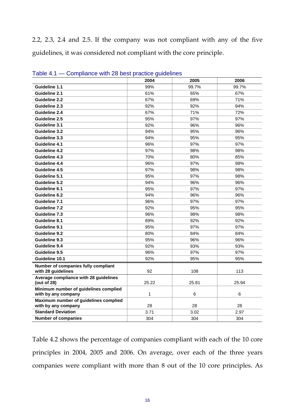2.2, 2.3, 2.4 and 2.5. If the company was not compliant with any of the five guidelines, it was considered not compliant with the core principle.

|                                                      | 2004         | 2005  | 2006  |
|------------------------------------------------------|--------------|-------|-------|
| <b>Guideline 1.1</b>                                 | 99%          | 99.7% | 99.7% |
| Guideline 2.1                                        | 61%          | 65%   | 67%   |
| <b>Guideline 2.2</b>                                 | 67%          | 69%   | 71%   |
| Guideline 2.3                                        | 92%          | 92%   | 94%   |
| Guideline 2.4                                        | 67%          | 71%   | 72%   |
| Guideline 2.5                                        | 95%          | 97%   | 97%   |
| Guideline 3.1                                        | 92%          | 96%   | 96%   |
| Guideline 3.2                                        | 94%          | 95%   | 96%   |
| Guideline 3.3                                        | 94%          | 95%   | 95%   |
| Guideline 4.1                                        | 96%          | 97%   | 97%   |
| Guideline 4.2                                        | 97%          | 98%   | 98%   |
| Guideline 4.3                                        | 70%          | 80%   | 85%   |
| Guideline 4.4                                        | 96%          | 97%   | 98%   |
| Guideline 4.5                                        | 97%          | 98%   | 98%   |
| Guideline 5.1                                        | 95%          | 97%   | 98%   |
| Guideline 5.2                                        | 94%          | 96%   | 96%   |
| Guideline 6.1                                        | 95%          | 97%   | 97%   |
| Guideline 6.2                                        | 94%          | 96%   | 96%   |
| Guideline 7.1                                        | 96%          | 97%   | 97%   |
| <b>Guideline 7.2</b>                                 | 92%          | 95%   | 95%   |
| Guideline 7.3                                        | 96%          | 98%   | 98%   |
| Guideline 8.1                                        | 89%          | 92%   | 92%   |
| Guideline 9.1                                        | 95%          | 97%   | 97%   |
| Guideline 9.2                                        | 80%          | 84%   | 84%   |
| Guideline 9.3                                        | 95%          | 96%   | 96%   |
| Guideline 9.4                                        | 92%          | 93%   | 93%   |
| Guideline 9.5                                        | 96%          | 97%   | 97%   |
| Guideline 10.1                                       | 92%          | 95%   | 95%   |
| Number of companies fully compliant                  |              |       |       |
| with 28 guidelines                                   | 92           | 108   | 113   |
| Average compliance with 28 guidelines<br>(out of 28) | 25.22        | 25.81 | 25.94 |
| Minimum number of guidelines complied                |              |       |       |
| with by any company                                  | $\mathbf{1}$ | 6     | 6     |
| Maximum number of guidelines complied                |              |       |       |
| with by any company                                  | 28           | 28    | 28    |
| <b>Standard Deviation</b>                            | 3.71         | 3.02  | 2.97  |
| <b>Number of companies</b>                           | 304          | 304   | 304   |

Table 4.1 — Compliance with 28 best practice guidelines

Table 4.2 shows the percentage of companies compliant with each of the 10 core principles in 2004, 2005 and 2006. On average, over each of the three years companies were compliant with more than 8 out of the 10 core principles. As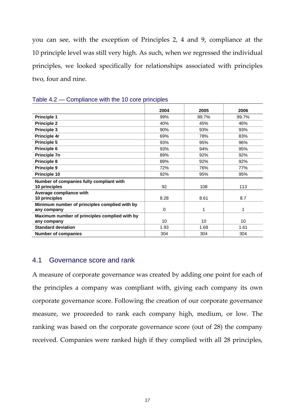you can see, with the exception of Principles 2, 4 and 9, compliance at the 10 principle level was still very high. As such, when we regressed the individual principles, we looked specifically for relationships associated with principles two, four and nine.

| ----                                          |      |       |       |
|-----------------------------------------------|------|-------|-------|
|                                               | 2004 | 2005  | 2006  |
| <b>Principle 1</b>                            | 99%  | 99.7% | 99.7% |
| <b>Principle 2</b>                            | 40%  | 45%   | 46%   |
| Principle 3                                   | 90%  | 93%   | 93%   |
| Principle 4r                                  | 69%  | 78%   | 83%   |
| Principle 5                                   | 93%  | 95%   | 96%   |
| Principle 6                                   | 93%  | 94%   | 95%   |
| <b>Principle 7n</b>                           | 89%  | 92%   | 92%   |
| Principle 8                                   | 89%  | 92%   | 92%   |
| Principle 9                                   | 72%  | 76%   | 77%   |
| Principle 10                                  | 92%  | 95%   | 95%   |
| Number of companies fully compliant with      |      |       |       |
| 10 principles                                 | 92   | 108   | 113   |
| Average compliance with                       |      |       |       |
| 10 principles                                 | 8.28 | 8.61  | 8.7   |
| Minimum number of principles complied with by |      |       |       |
| any company                                   | 0    | 1     | 1     |
| Maximum number of principles complied with by |      |       |       |
| any company                                   | 10   | 10    | 10    |
| <b>Standard deviation</b>                     | 1.93 | 1.68  | 1.61  |
| <b>Number of companies</b>                    | 304  | 304   | 304   |

Table 4.2 — Compliance with the 10 core principles

#### <span id="page-19-0"></span>4.1 Governance score and rank

A measure of corporate governance was created by adding one point for each of the principles a company was compliant with, giving each company its own corporate governance score. Following the creation of our corporate governance measure, we proceeded to rank each company high, medium, or low. The ranking was based on the corporate governance score (out of 28) the company received. Companies were ranked high if they complied with all 28 principles,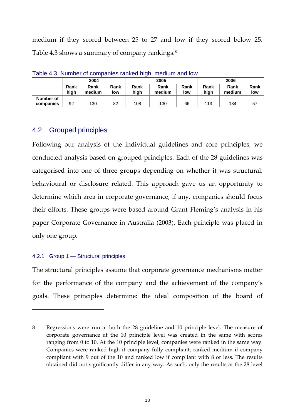medium if they scored between 25 to 27 and low if they scored below 25. Table 4.3 shows a summary of company rankings.<sup>[8](#page-20-2)</sup>

| $\sim$ , where $\sim$ , $\sim$ , $\sim$ , $\sim$ , $\sim$ , $\sim$ , $\sim$ , $\sim$ , $\sim$ , $\sim$ , $\sim$ , $\sim$ , $\sim$ , $\sim$ , $\sim$ , $\sim$ , $\sim$ , $\sim$ , $\sim$ , $\sim$ , $\sim$ , $\sim$ , $\sim$ , $\sim$ , $\sim$ , $\sim$ , $\sim$ , $\sim$ , $\sim$ , $\sim$ | 2004         |                |             | 2005         |                |             |              | 2006           |             |
|--------------------------------------------------------------------------------------------------------------------------------------------------------------------------------------------------------------------------------------------------------------------------------------------|--------------|----------------|-------------|--------------|----------------|-------------|--------------|----------------|-------------|
|                                                                                                                                                                                                                                                                                            | Rank<br>hiah | Rank<br>medium | Rank<br>low | Rank<br>hiah | Rank<br>medium | Rank<br>low | Rank<br>hiah | Rank<br>medium | Rank<br>low |
| Number of                                                                                                                                                                                                                                                                                  |              |                |             |              |                |             |              |                |             |
| companies                                                                                                                                                                                                                                                                                  | 92           | 130            | 82          | 108          | 130            | 66          | 113          | 134            | 57          |

Table 4.3 Number of companies ranked high, medium and low

#### <span id="page-20-0"></span>4.2 Grouped principles

Following our analysis of the individual guidelines and core principles, we conducted analysis based on grouped principles. Each of the 28 guidelines was categorised into one of three groups depending on whether it was structural, behavioural or disclosure related. This approach gave us an opportunity to determine which area in corporate governance, if any, companies should focus their efforts. These groups were based around Grant Fleming's analysis in his paper Corporate Governance in Australia (2003). Each principle was placed in only one group.

#### <span id="page-20-1"></span>4.2.1 Group 1 — Structural principles

The structural principles assume that corporate governance mechanisms matter for the performance of the company and the achievement of the company's goals. These principles determine: the ideal composition of the board of

<span id="page-20-2"></span><sup>8</sup> Regressions were run at both the 28 guideline and 10 principle level. The measure of corporate governance at the 10 principle level was created in the same with scores ranging from 0 to 10. At the 10 principle level, companies were ranked in the same way. Companies were ranked high if company fully compliant, ranked medium if company compliant with 9 out of the 10 and ranked low if compliant with 8 or less. The results obtained did not significantly differ in any way. As such, only the results at the 28 level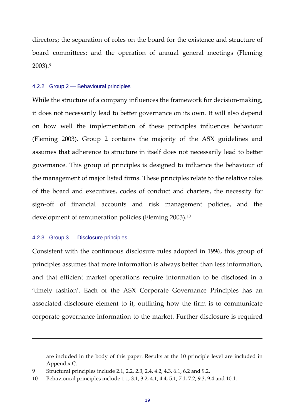directors; the separation of roles on the board for the existence and structure of board committees; and the operation of annual general meetings (Fleming 2003).[9](#page-21-2)

#### <span id="page-21-0"></span>4.2.2 Group 2 — Behavioural principles

While the structure of a company influences the framework for decision-making, it does not necessarily lead to better governance on its own. It will also depend on how well the implementation of these principles influences behaviour (Fleming 2003). Group 2 contains the majority of the ASX guidelines and assumes that adherence to structure in itself does not necessarily lead to better governance. This group of principles is designed to influence the behaviour of the management of major listed firms. These principles relate to the relative roles of the board and executives, codes of conduct and charters, the necessity for sign‐off of financial accounts and risk management policies, and the development of remuneration policies (Fleming 2003).<sup>[10](#page-21-3)</sup>

#### <span id="page-21-1"></span>4.2.3 Group 3 — Disclosure principles

Consistent with the continuous disclosure rules adopted in 1996, this group of principles assumes that more information is always better than less information, and that efficient market operations require information to be disclosed in a 'timely fashion'. Each of the ASX Corporate Governance Principles has an associated disclosure element to it, outlining how the firm is to communicate corporate governance information to the market. Further disclosure is required

<u> Andreas Andreas Andreas Andreas Andreas Andreas Andreas Andreas Andreas Andreas Andreas Andreas Andreas Andr</u>

are included in the body of this paper. Results at the 10 principle level are included in Appendix C.

<span id="page-21-2"></span><sup>9</sup> Structural principles include 2.1, 2.2, 2.3, 2.4, 4.2, 4.3, 6.1, 6.2 and 9.2.

<span id="page-21-3"></span><sup>10</sup> Behavioural principles include 1.1, 3.1, 3.2, 4.1, 4.4, 5.1, 7.1, 7.2, 9.3, 9.4 and 10.1.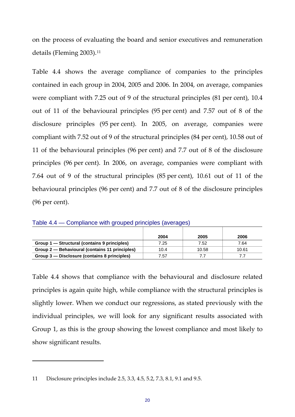on the process of evaluating the board and senior executives and remuneration details (Fleming 2003).<sup>[11](#page-22-0)</sup>

Table 4.4 shows the average compliance of companies to the principles contained in each group in 2004, 2005 and 2006. In 2004, on average, companies were compliant with 7.25 out of 9 of the structural principles (81 per cent), 10.4 out of 11 of the behavioural principles (95 per cent) and 7.57 out of 8 of the disclosure principles (95 per cent). In 2005, on average, companies were compliant with 7.52 out of 9 of the structural principles (84 per cent), 10.58 out of 11 of the behavioural principles (96 per cent) and 7.7 out of 8 of the disclosure principles (96 per cent). In 2006, on average, companies were compliant with 7.64 out of 9 of the structural principles (85 per cent), 10.61 out of 11 of the behavioural principles (96 per cent) and 7.7 out of 8 of the disclosure principles (96 per cent).

|                                                | 2004 | 2005  | 2006  |
|------------------------------------------------|------|-------|-------|
| Group 1 – Structural (contains 9 principles)   | 7.25 | 7.52  | 7.64  |
| Group 2 – Behavioural (contains 11 principles) | 10.4 | 10.58 | 10.61 |
| Group 3 – Disclosure (contains 8 principles)   | 7.57 |       |       |

Table 4.4 — Compliance with grouped principles (averages)

Table 4.4 shows that compliance with the behavioural and disclosure related principles is again quite high, while compliance with the structural principles is slightly lower. When we conduct our regressions, as stated previously with the individual principles, we will look for any significant results associated with Group 1, as this is the group showing the lowest compliance and most likely to show significant results.

<span id="page-22-0"></span><sup>11</sup> Disclosure principles include 2.5, 3.3, 4.5, 5.2, 7.3, 8.1, 9.1 and 9.5.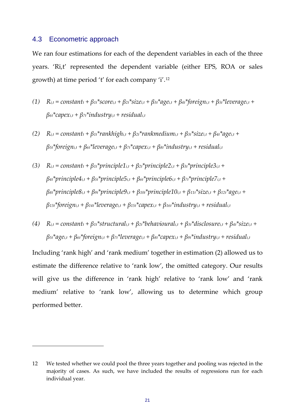#### <span id="page-23-0"></span>4.3 Econometric approach

We ran four estimations for each of the dependent variables in each of the three years. 'Ri,t' represented the dependent variable (either EPS, ROA or sales growth) at time period 't' for each company 'i'.[12](#page-23-1)

- (1)  $R_{i,t} = constant_t + \beta_{1t}$ \*score<sub>i,t</sub> +  $\beta_{2t}$ \*size<sub>i,t</sub> +  $\beta_{3t}$ \*age<sub>i,t</sub> +  $\beta_{4t}$ \*foreign<sub>i,t</sub> +  $\beta_{5t}$ \*leverage<sub>i,t</sub> + *β6t\*capexi,t + β7t\*industryi,t + residuali,t*
- *(2) Ri,t = constantt + β1t\*rankhighi,t + β2t\*rankmediumi,t + β3t\*sizei,t + β4t\*agei,t + β5t\*foreigni,t + β6t\*leveragei,t + β7t\*capexi,t + β8t\*industryi,t + residuali,t*
- $R_{i,t} = \text{constant}_{t} + \beta_{1t}*\text{principle1}_{i,t} + \beta_{2t}*\text{principle2}_{i,t} + \beta_{3t}*\text{principle3}_{i,t} + \beta_{4t}*\text{principle3}_{i,t} + \beta_{5t}*\text{principle3}_{i,t} + \beta_{6t}*\text{principle3}_{i,t} + \beta_{7t}*\text{principle3}_{i,t} + \beta_{8t}*\text{principle3}_{i,t} + \beta_{9t}*\text{principle3}_{i,t} + \beta_{1t}*\text{principle3}_{i,t} + \beta_{1t}*\text{principle3}_{i,t} + \beta_{1t}*\text{principle3}_{i,t} + \beta$ *β4t\*principle4i,t + β5t\*principle5i,t + β6t\*principle6i,t + β7t\*principle7i,t + β8t\*principle8i,t + β9t\*principle9i,t + β10t\*principle10i,t + β11t\*sizei,t + β12t\*agei,t + β13t\*foreigni,t + β14t\*leveragei,t + β15t\*capexi,t + β16t\*industryi,t + residuali,t*
- $R_{i,t} = constant_t + \beta_{1t}$ \*structural<sub>i,t</sub> +  $\beta_{2t}$ \*behavioural<sub>i,t</sub> +  $\beta_{3t}$ \*disclosure<sub>i,t</sub> +  $\beta_{4t}$ \*size<sub>i,t</sub> + *β5t\*agei,t + β6t\*foreigni,t + β7t\*leveragei,t + β8t\*capexi,t + β9t\*industryi,t + residuali,t*

Including 'rank high' and 'rank medium' together in estimation (2) allowed us to estimate the difference relative to 'rank low', the omitted category. Our results will give us the difference in 'rank high' relative to 'rank low' and 'rank medium' relative to 'rank low', allowing us to determine which group performed better.

<span id="page-23-1"></span><sup>12</sup> We tested whether we could pool the three years together and pooling was rejected in the majority of cases. As such, we have included the results of regressions run for each individual year.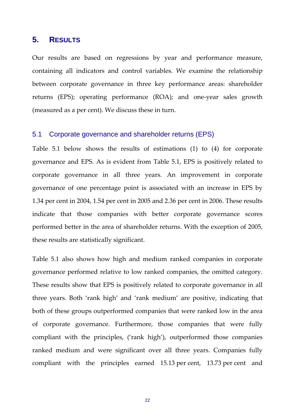#### <span id="page-24-0"></span>**5. RESULTS**

Our results are based on regressions by year and performance measure, containing all indicators and control variables. We examine the relationship between corporate governance in three key performance areas: shareholder returns (EPS); operating performance (ROA); and one‐year sales growth (measured as a per cent). We discuss these in turn.

#### <span id="page-24-1"></span>5.1 Corporate governance and shareholder returns (EPS)

Table 5.1 below shows the results of estimations (1) to (4) for corporate governance and EPS. As is evident from Table 5.1, EPS is positively related to corporate governance in all three years. An improvement in corporate governance of one percentage point is associated with an increase in EPS by 1.34 per cent in 2004, 1.54 per cent in 2005 and 2.36 per cent in 2006. These results indicate that those companies with better corporate governance scores performed better in the area of shareholder returns. With the exception of 2005, these results are statistically significant.

Table 5.1 also shows how high and medium ranked companies in corporate governance performed relative to low ranked companies, the omitted category. These results show that EPS is positively related to corporate governance in all three years. Both 'rank high' and 'rank medium' are positive, indicating that both of these groups outperformed companies that were ranked low in the area of corporate governance. Furthermore, those companies that were fully compliant with the principles, ('rank high'), outperformed those companies ranked medium and were significant over all three years. Companies fully compliant with the principles earned 15.13 per cent, 13.73 per cent and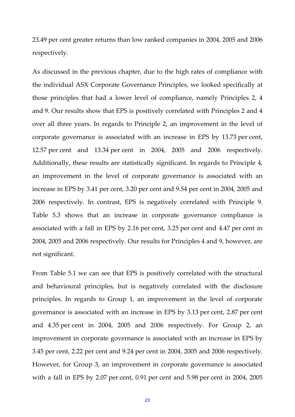23.49 per cent greater returns than low ranked companies in 2004, 2005 and 2006 respectively.

As discussed in the previous chapter, due to the high rates of compliance with the individual ASX Corporate Governance Principles, we looked specifically at those principles that had a lower level of compliance, namely Principles 2, 4 and 9. Our results show that EPS is positively correlated with Principles 2 and 4 over all three years. In regards to Principle 2, an improvement in the level of corporate governance is associated with an increase in EPS by 13.73 per cent, 12.57 per cent and 13.34 per cent in 2004, 2005 and 2006 respectively. Additionally, these results are statistically significant. In regards to Principle 4, an improvement in the level of corporate governance is associated with an increase in EPS by 3.41 per cent, 3.20 per cent and 9.54 per cent in 2004, 2005 and 2006 respectively. In contrast, EPS is negatively correlated with Principle 9. Table 5.3 shows that an increase in corporate governance compliance is associated with a fall in EPS by 2.16 per cent, 3.25 per cent and 4.47 per cent in 2004, 2005 and 2006 respectively. Our results for Principles 4 and 9, however, are not significant.

From Table 5.1 we can see that EPS is positively correlated with the structural and behavioural principles, but is negatively correlated with the disclosure principles. In regards to Group 1, an improvement in the level of corporate governance is associated with an increase in EPS by 3.13 per cent, 2.87 per cent and 4.35 per cent in 2004, 2005 and 2006 respectively. For Group 2, an improvement in corporate governance is associated with an increase in EPS by 3.45 per cent, 2.22 per cent and 9.24 per cent in 2004, 2005 and 2006 respectively. However, for Group 3, an improvement in corporate governance is associated with a fall in EPS by 2.07 per cent, 0.91 per cent and 5.98 per cent in 2004, 2005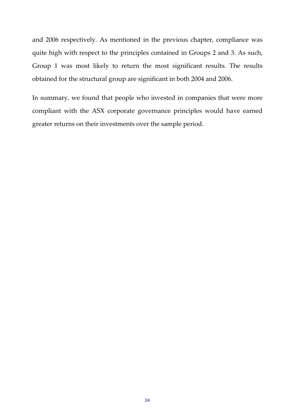and 2006 respectively. As mentioned in the previous chapter, compliance was quite high with respect to the principles contained in Groups 2 and 3. As such, Group 1 was most likely to return the most significant results. The results obtained for the structural group are significant in both 2004 and 2006.

In summary, we found that people who invested in companies that were more compliant with the ASX corporate governance principles would have earned greater returns on their investments over the sample period.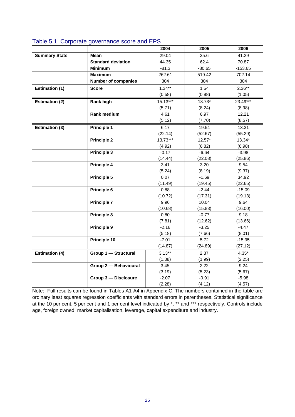|                       |                            | 2004       | 2005     | 2006      |
|-----------------------|----------------------------|------------|----------|-----------|
| <b>Summary Stats</b>  | <b>Mean</b>                | 29.04      | 35.6     | 41.29     |
|                       | <b>Standard deviation</b>  | 44.35      | 62.4     | 70.87     |
|                       | <b>Minimum</b>             | $-81.3$    | $-80.65$ | $-153.65$ |
|                       | <b>Maximum</b>             | 262.61     | 519.42   | 702.14    |
|                       | <b>Number of companies</b> | 304        | 304      | 304       |
| <b>Estimation (1)</b> | <b>Score</b>               | $1.34**$   | 1.54     | $2.36**$  |
|                       |                            | (0.58)     | (0.98)   | (1.05)    |
| <b>Estimation (2)</b> | Rank high                  | $15.13***$ | $13.73*$ | 23.49***  |
|                       |                            | (5.71)     | (8.24)   | (8.98)    |
|                       | Rank medium                | 4.61       | 6.97     | 12.21     |
|                       |                            | (5.12)     | (7.70)   | (8.57)    |
| <b>Estimation (3)</b> | <b>Principle 1</b>         | 6.17       | 19.54    | 13.31     |
|                       |                            | (22.14)    | (52.67)  | (55.29)   |
|                       | <b>Principle 2</b>         | $13.73***$ | $12.57*$ | 13.34*    |
|                       |                            | (4.92)     | (6.82)   | (6.98)    |
|                       | <b>Principle 3</b>         | $-0.17$    | $-6.64$  | $-3.98$   |
|                       |                            | (14.44)    | (22.08)  | (25.86)   |
|                       | <b>Principle 4</b>         | 3.41       | 3.20     | 9.54      |
|                       |                            | (5.24)     | (8.19)   | (9.37)    |
|                       | Principle 5                | 0.07       | $-1.69$  | 34.92     |
|                       |                            | (11.49)    | (19.45)  | (22.65)   |
|                       | Principle 6                | 0.88       | $-2.44$  | $-15.09$  |
|                       |                            | (10.72)    | (17.31)  | (19.13)   |
|                       | <b>Principle 7</b>         | 9.96       | 10.04    | 9.64      |
|                       |                            | (10.68)    | (15.83)  | (16.00)   |
|                       | <b>Principle 8</b>         | 0.80       | $-0.77$  | 9.18      |
|                       |                            | (7.81)     | (12.62)  | (13.66)   |
|                       | Principle 9                | $-2.16$    | $-3.25$  | $-4.47$   |
|                       |                            | (5.18)     | (7.66)   | (8.01)    |
|                       | Principle 10               | $-7.01$    | 5.72     | $-15.95$  |
|                       |                            | (14.87)    | (24.89)  | (27.12)   |
| <b>Estimation (4)</b> | Group 1 - Structural       | $3.13***$  | 2.87     | $4.35*$   |
|                       |                            | (1.38)     | (1.99)   | (2.25)    |
|                       | Group 2 - Behavioural      | 3.45       | 2.22     | 9.24      |
|                       |                            | (3.19)     | (5.23)   | (5.67)    |
|                       | Group 3 - Disclosure       | $-2.07$    | $-0.91$  | $-5.98$   |
|                       |                            | (2.28)     | (4.12)   | (4.57)    |

#### Table 5.1 Corporate governance score and EPS

Note: Full results can be found in Tables A1-A4 in Appendix C. The numbers contained in the table are ordinary least squares regression coefficients with standard errors in parentheses. Statistical significance at the 10 per cent, 5 per cent and 1 per cent level indicated by \*, \*\* and \*\*\* respectively. Controls include age, foreign owned, market capitalisation, leverage, capital expenditure and industry.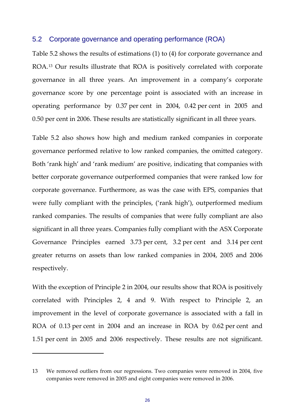#### <span id="page-28-0"></span>5.2 Corporate governance and operating performance (ROA)

Table 5.2 shows the results of estimations (1) to (4) for corporate governance and ROA.[13](#page-28-1) Our results illustrate that ROA is positively correlated with corporate governance in all three years. An improvement in a company's corporate governance score by one percentage point is associated with an increase in operating performance by 0.37 per cent in 2004, 0.42 per cent in 2005 and 0.50 per cent in 2006. These results are statistically significant in all three years.

Table 5.2 also shows how high and medium ranked companies in corporate governance performed relative to low ranked companies, the omitted category. Both 'rank high' and 'rank medium' are positive, indicating that companies with better corporate governance outperformed companies that were ranked low for corporate governance. Furthermore, as was the case with EPS, companies that were fully compliant with the principles, ('rank high'), outperformed medium ranked companies. The results of companies that were fully compliant are also significant in all three years. Companies fully compliant with the ASX Corporate Governance Principles earned 3.73 per cent, 3.2 per cent and 3.14 per cent greater returns on assets than low ranked companies in 2004, 2005 and 2006 respectively.

With the exception of Principle 2 in 2004, our results show that ROA is positively correlated with Principles 2, 4 and 9. With respect to Principle 2, an improvement in the level of corporate governance is associated with a fall in ROA of 0.13 per cent in 2004 and an increase in ROA by 0.62 per cent and 1.51 per cent in 2005 and 2006 respectively. These results are not significant.

<span id="page-28-1"></span><sup>13</sup> We removed outliers from our regressions. Two companies were removed in 2004, five companies were removed in 2005 and eight companies were removed in 2006.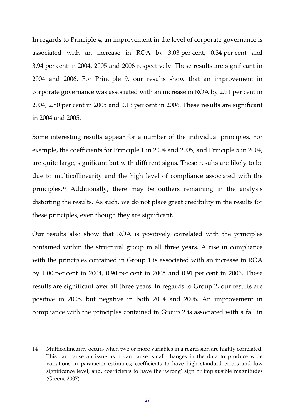In regards to Principle 4, an improvement in the level of corporate governance is associated with an increase in ROA by 3.03 per cent, 0.34 per cent and 3.94 per cent in 2004, 2005 and 2006 respectively. These results are significant in 2004 and 2006. For Principle 9, our results show that an improvement in corporate governance was associated with an increase in ROA by 2.91 per cent in 2004, 2.80 per cent in 2005 and 0.13 per cent in 2006. These results are significant in 2004 and 2005.

Some interesting results appear for a number of the individual principles. For example, the coefficients for Principle 1 in 2004 and 2005, and Principle 5 in 2004, are quite large, significant but with different signs. These results are likely to be due to multicollinearity and the high level of compliance associated with the principles.[14](#page-29-0) Additionally, there may be outliers remaining in the analysis distorting the results. As such, we do not place great credibility in the results for these principles, even though they are significant.

Our results also show that ROA is positively correlated with the principles contained within the structural group in all three years. A rise in compliance with the principles contained in Group 1 is associated with an increase in ROA by 1.00 per cent in 2004, 0.90 per cent in 2005 and 0.91 per cent in 2006. These results are significant over all three years. In regards to Group 2, our results are positive in 2005, but negative in both 2004 and 2006. An improvement in compliance with the principles contained in Group 2 is associated with a fall in

<span id="page-29-0"></span><sup>14</sup> Multicollinearity occurs when two or more variables in a regression are highly correlated. This can cause an issue as it can cause: small changes in the data to produce wide variations in parameter estimates; coefficients to have high standard errors and low significance level; and, coefficients to have the 'wrong' sign or implausible magnitudes (Greene 2007).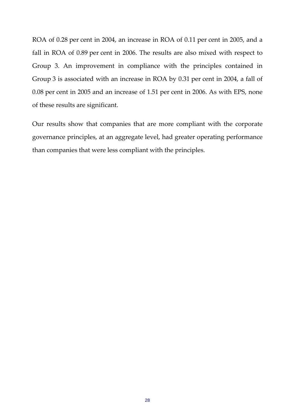ROA of 0.28 per cent in 2004, an increase in ROA of 0.11 per cent in 2005, and a fall in ROA of 0.89 per cent in 2006. The results are also mixed with respect to Group 3. An improvement in compliance with the principles contained in Group 3 is associated with an increase in ROA by 0.31 per cent in 2004, a fall of 0.08 per cent in 2005 and an increase of 1.51 per cent in 2006. As with EPS, none of these results are significant.

Our results show that companies that are more compliant with the corporate governance principles, at an aggregate level, had greater operating performance than companies that were less compliant with the principles.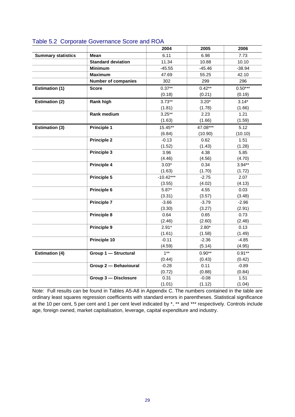|                           |                            | 2004           | 2005              | 2006           |
|---------------------------|----------------------------|----------------|-------------------|----------------|
| <b>Summary statistics</b> | <b>Mean</b>                | 6.11           | 6.98              | 7.73           |
|                           | <b>Standard deviation</b>  | 11.34          | 10.88             | 10.10          |
|                           | <b>Minimum</b>             | $-45.55$       | $-45.46$          | $-38.94$       |
|                           | <b>Maximum</b>             | 47.69          | 55.25             | 42.10          |
|                           | <b>Number of companies</b> | 302            | 299               | 296            |
| <b>Estimation (1)</b>     | <b>Score</b>               | $0.37**$       | $0.42***$         | $0.50***$      |
|                           |                            | (0.18)         | (0.21)            | (0.19)         |
| <b>Estimation (2)</b>     | <b>Rank high</b>           | $3.73***$      | $3.20*$           | $3.14*$        |
|                           |                            | (1.81)         | (1.78)            | (1.66)         |
|                           | <b>Rank medium</b>         | $3.25**$       | 2.23              | 1.21           |
|                           |                            | (1.63)         | (1.66)            | (1.59)         |
| <b>Estimation (3)</b>     | <b>Principle 1</b>         | 15.45**        | 47.08***          | 5.12           |
|                           |                            | (6.84)         | (10.90)           | (10.10)        |
|                           | <b>Principle 2</b>         | $-0.13$        | 0.62              | 1.51           |
|                           |                            | (1.52)         | (1.43)            | (1.28)         |
|                           | Principle 3                | 3.96           | 4.38              | 5.85           |
|                           |                            | (4.46)         | (4.56)            | (4.70)         |
|                           | <b>Principle 4</b>         | $3.03*$        | 0.34              | $3.94***$      |
|                           |                            | (1.63)         | (1.70)            | (1.72)         |
|                           | Principle 5                | $-10.42***$    | $-2.75$           | 2.07           |
|                           |                            | (3.55)         | (4.02)            | (4.13)         |
|                           | Principle 6                | $5.87*$        | 4.55              | 0.03           |
|                           |                            | (3.31)         | (3.57)            | (3.48)         |
|                           | <b>Principle 7</b>         | $-3.66$        | $-3.79$           | $-2.96$        |
|                           |                            | (3.30)         | (3.27)            | (2.91)         |
|                           | <b>Principle 8</b>         | 0.64           | 0.65              | 0.73           |
|                           |                            | (2.46)         | (2.60)            | (2.48)         |
|                           | <b>Principle 9</b>         | $2.91*$        | $2.80*$           | 0.13           |
|                           |                            | (1.61)         | (1.58)            | (1.49)         |
|                           | Principle 10               | $-0.11$        | $-2.36$           | $-4.85$        |
|                           |                            | (4.59)         | (5.14)            | (4.95)         |
| <b>Estimation (4)</b>     | Group 1 - Structural       | $1***$         | $0.90**$          | $0.91**$       |
|                           |                            | (0.44)         | (0.43)            | (0.42)         |
|                           | Group 2 - Behavioural      | $-0.28$        | 0.11              | $-0.89$        |
|                           | Group 3 - Disclosure       | (0.72)<br>0.31 | (0.88)<br>$-0.08$ | (0.84)<br>1.51 |
|                           |                            |                |                   |                |
|                           |                            | (1.01)         | (1.12)            | (1.04)         |

#### Table 5.2 Corporate Governance Score and ROA

Note: Full results can be found in Tables A5-A8 in Appendix C. The numbers contained in the table are ordinary least squares regression coefficients with standard errors in parentheses. Statistical significance at the 10 per cent, 5 per cent and 1 per cent level indicated by \*, \*\* and \*\*\* respectively. Controls include age, foreign owned, market capitalisation, leverage, capital expenditure and industry.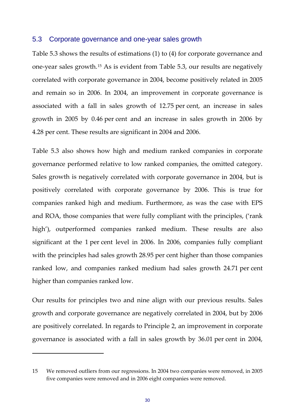#### <span id="page-32-0"></span>5.3 Corporate governance and one-year sales growth

Table 5.3 shows the results of estimations (1) to (4) for corporate governance and one‐year sales growth.[15](#page-32-1) As is evident from Table 5.3, our results are negatively correlated with corporate governance in 2004, become positively related in 2005 and remain so in 2006. In 2004, an improvement in corporate governance is associated with a fall in sales growth of 12.75 per cent, an increase in sales growth in 2005 by 0.46 per cent and an increase in sales growth in 2006 by 4.28 per cent. These results are significant in 2004 and 2006.

Table 5.3 also shows how high and medium ranked companies in corporate governance performed relative to low ranked companies, the omitted category. Sales growth is negatively correlated with corporate governance in 2004, but is positively correlated with corporate governance by 2006. This is true for companies ranked high and medium. Furthermore, as was the case with EPS and ROA, those companies that were fully compliant with the principles, ('rank high'), outperformed companies ranked medium. These results are also significant at the 1 per cent level in 2006. In 2006, companies fully compliant with the principles had sales growth 28.95 per cent higher than those companies ranked low, and companies ranked medium had sales growth 24.71 per cent higher than companies ranked low.

Our results for principles two and nine align with our previous results. Sales growth and corporate governance are negatively correlated in 2004, but by 2006 are positively correlated. In regards to Principle 2, an improvement in corporate governance is associated with a fall in sales growth by 36.01 per cent in 2004,

<span id="page-32-1"></span><sup>15</sup> We removed outliers from our regressions. In 2004 two companies were removed, in 2005 five companies were removed and in 2006 eight companies were removed.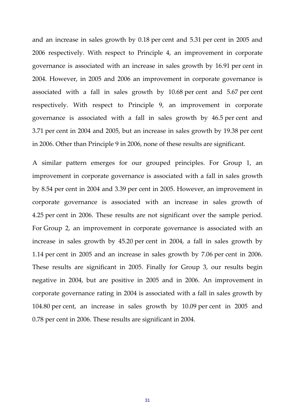and an increase in sales growth by 0.18 per cent and 5.31 per cent in 2005 and 2006 respectively. With respect to Principle 4, an improvement in corporate governance is associated with an increase in sales growth by 16.91 per cent in 2004. However, in 2005 and 2006 an improvement in corporate governance is associated with a fall in sales growth by 10.68 per cent and 5.67 per cent respectively. With respect to Principle 9, an improvement in corporate governance is associated with a fall in sales growth by 46.5 per cent and 3.71 per cent in 2004 and 2005, but an increase in sales growth by 19.38 per cent in 2006. Other than Principle 9 in 2006, none of these results are significant.

A similar pattern emerges for our grouped principles. For Group 1, an improvement in corporate governance is associated with a fall in sales growth by 8.54 per cent in 2004 and 3.39 per cent in 2005. However, an improvement in corporate governance is associated with an increase in sales growth of 4.25 per cent in 2006. These results are not significant over the sample period. For Group 2, an improvement in corporate governance is associated with an increase in sales growth by 45.20 per cent in 2004, a fall in sales growth by 1.14 per cent in 2005 and an increase in sales growth by 7.06 per cent in 2006. These results are significant in 2005. Finally for Group 3, our results begin negative in 2004, but are positive in 2005 and in 2006. An improvement in corporate governance rating in 2004 is associated with a fall in sales growth by 104.80 per cent, an increase in sales growth by 10.09 per cent in 2005 and 0.78 per cent in 2006. These results are significant in 2004.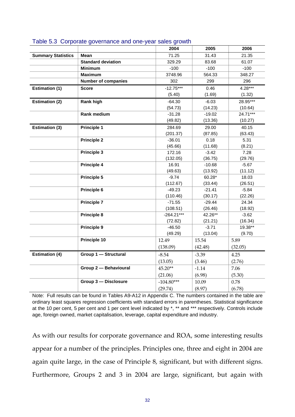|                           |                            | 2004         | 2005     | 2006      |
|---------------------------|----------------------------|--------------|----------|-----------|
| <b>Summary Statistics</b> | <b>Mean</b>                | 71.25        | 31.43    | 21.35     |
|                           | <b>Standard deviation</b>  | 329.29       | 83.68    | 61.07     |
|                           | <b>Minimum</b>             | $-100$       | $-100$   | $-100$    |
|                           | <b>Maximum</b>             | 3748.96      | 564.33   | 348.27    |
|                           | <b>Number of companies</b> | 302          | 299      | 296       |
| <b>Estimation (1)</b>     | <b>Score</b>               | $-12.75***$  | 0.46     | $4.28***$ |
|                           |                            | (5.40)       | (1.69)   | (1.32)    |
| <b>Estimation (2)</b>     | <b>Rank high</b>           | $-64.30$     | $-6.03$  | 28.95***  |
|                           |                            | (54.73)      | (14.23)  | (10.64)   |
|                           | <b>Rank medium</b>         | $-31.28$     | $-19.02$ | 24.71***  |
|                           |                            | (49.82)      | (13.36)  | (10.27)   |
| <b>Estimation (3)</b>     | <b>Principle 1</b>         | 284.69       | 29.00    | 40.15     |
|                           |                            | (201.37)     | (87.85)  | (63.43)   |
|                           | <b>Principle 2</b>         | $-36.01$     | 0.18     | 5.31      |
|                           |                            | (45.66)      | (11.68)  | (8.21)    |
|                           | Principle 3                | 172.16       | $-3.42$  | 7.28      |
|                           |                            | (132.05)     | (36.75)  | (29.76)   |
|                           | <b>Principle 4</b>         | 16.91        | $-10.68$ | $-5.67$   |
|                           |                            | (49.63)      | (13.92)  | (11.12)   |
|                           | <b>Principle 5</b>         | $-9.74$      | 60.28*   | 18.03     |
|                           |                            | (112.67)     | (33.44)  | (26.51)   |
|                           | Principle 6                | $-49.23$     | $-21.41$ | $-5.84$   |
|                           |                            | (110.46)     | (30.17)  | (22.26)   |
|                           | <b>Principle 7</b>         | $-71.55$     | $-29.44$ | 24.34     |
|                           |                            | (108.51)     | (26.46)  | (18.92)   |
|                           | Principle 8                | $-264.21***$ | 42.26**  | $-3.62$   |
|                           |                            | (72.82)      | (21.21)  | (16.34)   |
|                           | <b>Principle 9</b>         | $-46.50$     | $-3.71$  | 19.38**   |
|                           | Principle 10               | (49.29)      | (13.04)  | (9.70)    |
|                           |                            | 12.49        | 15.54    | 5.89      |
|                           |                            | (138.09)     | (42.48)  | (32.05)   |
| <b>Estimation (4)</b>     | Group 1 - Structural       | $-8.54$      | $-3.39$  | 4.25      |
|                           |                            | (13.05)      | (3.46)   | (2.76)    |
|                           | Group 2 - Behavioural      | 45.20**      | $-1.14$  | 7.06      |
|                           |                            | (21.06)      | (6.98)   | (5.30)    |
|                           | Group 3 - Disclosure       | $-104.80***$ | 10.09    | 0.78      |
|                           |                            | (29.74)      | (8.97)   | (6.78)    |

#### Table 5.3 Corporate governance and one-year sales growth

Note: Full results can be found in Tables A9-A12 in Appendix C. The numbers contained in the table are ordinary least squares regression coefficients with standard errors in parentheses. Statistical significance at the 10 per cent, 5 per cent and 1 per cent level indicated by \*, \*\* and \*\*\* respectively. Controls include age, foreign owned, market capitalisation, leverage, capital expenditure and industry.

As with our results for corporate governance and ROA, some interesting results appear for a number of the principles. Principles one, three and eight in 2004 are again quite large, in the case of Principle 8, significant, but with different signs. Furthermore, Groups 2 and 3 in 2004 are large, significant, but again with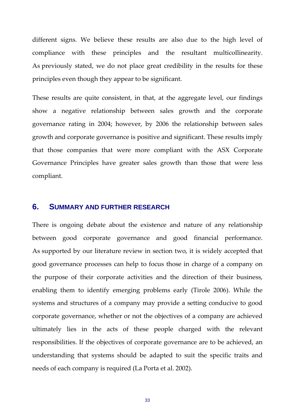different signs. We believe these results are also due to the high level of compliance with these principles and the resultant multicollinearity. As previously stated, we do not place great credibility in the results for these principles even though they appear to be significant.

These results are quite consistent, in that, at the aggregate level, our findings show a negative relationship between sales growth and the corporate governance rating in 2004; however, by 2006 the relationship between sales growth and corporate governance is positive and significant. These results imply that those companies that were more compliant with the ASX Corporate Governance Principles have greater sales growth than those that were less compliant.

#### <span id="page-35-0"></span>**6. SUMMARY AND FURTHER RESEARCH**

There is ongoing debate about the existence and nature of any relationship between good corporate governance and good financial performance. As supported by our literature review in section two, it is widely accepted that good governance processes can help to focus those in charge of a company on the purpose of their corporate activities and the direction of their business, enabling them to identify emerging problems early (Tirole 2006). While the systems and structures of a company may provide a setting conducive to good corporate governance, whether or not the objectives of a company are achieved ultimately lies in the acts of these people charged with the relevant responsibilities. If the objectives of corporate governance are to be achieved, an understanding that systems should be adapted to suit the specific traits and needs of each company is required (La Porta et al. 2002).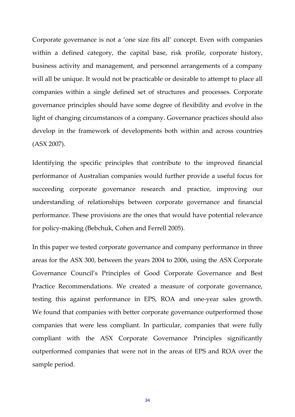Corporate governance is not a 'one size fits all' concept. Even with companies within a defined category, the capital base, risk profile, corporate history, business activity and management, and personnel arrangements of a company will all be unique. It would not be practicable or desirable to attempt to place all companies within a single defined set of structures and processes. Corporate governance principles should have some degree of flexibility and evolve in the light of changing circumstances of a company. Governance practices should also develop in the framework of developments both within and across countries (ASX 2007).

Identifying the specific principles that contribute to the improved financial performance of Australian companies would further provide a useful focus for succeeding corporate governance research and practice, improving our understanding of relationships between corporate governance and financial performance. These provisions are the ones that would have potential relevance for policy‐making (Bebchuk, Cohen and Ferrell 2005).

In this paper we tested corporate governance and company performance in three areas for the ASX 300, between the years 2004 to 2006, using the ASX Corporate Governance Council's Principles of Good Corporate Governance and Best Practice Recommendations. We created a measure of corporate governance, testing this against performance in EPS, ROA and one‐year sales growth. We found that companies with better corporate governance outperformed those companies that were less compliant. In particular, companies that were fully compliant with the ASX Corporate Governance Principles significantly outperformed companies that were not in the areas of EPS and ROA over the sample period.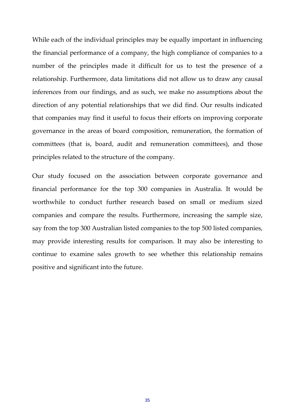While each of the individual principles may be equally important in influencing the financial performance of a company, the high compliance of companies to a number of the principles made it difficult for us to test the presence of a relationship. Furthermore, data limitations did not allow us to draw any causal inferences from our findings, and as such, we make no assumptions about the direction of any potential relationships that we did find. Our results indicated that companies may find it useful to focus their efforts on improving corporate governance in the areas of board composition, remuneration, the formation of committees (that is, board, audit and remuneration committees), and those principles related to the structure of the company.

Our study focused on the association between corporate governance and financial performance for the top 300 companies in Australia. It would be worthwhile to conduct further research based on small or medium sized companies and compare the results. Furthermore, increasing the sample size, say from the top 300 Australian listed companies to the top 500 listed companies, may provide interesting results for comparison. It may also be interesting to continue to examine sales growth to see whether this relationship remains positive and significant into the future.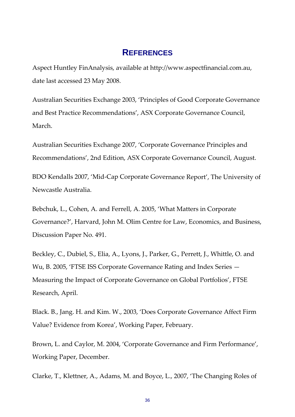### **REFERENCES**

Aspect Huntley FinAnalysis, available at http://www.aspectfinancial.com.au, date last accessed 23 May 2008.

Australian Securities Exchange 2003, 'Principles of Good Corporate Governance and Best Practice Recommendations', ASX Corporate Governance Council, March.

Australian Securities Exchange 2007, 'Corporate Governance Principles and Recommendations', 2nd Edition, ASX Corporate Governance Council, August.

BDO Kendalls 2007, 'Mid‐Cap Corporate Governance Report', The University of Newcastle Australia.

Bebchuk, L., Cohen, A. and Ferrell, A. 2005, 'What Matters in Corporate Governance?', Harvard, John M. Olim Centre for Law, Economics, and Business, Discussion Paper No. 491.

Beckley, C., Dubiel, S., Elia, A., Lyons, J., Parker, G., Perrett, J., Whittle, O. and Wu, B. 2005, 'FTSE ISS Corporate Governance Rating and Index Series — Measuring the Impact of Corporate Governance on Global Portfolios', FTSE Research, April.

Black. B., Jang. H. and Kim. W., 2003, 'Does Corporate Governance Affect Firm Value? Evidence from Korea', Working Paper, February.

Brown, L. and Caylor, M. 2004, 'Corporate Governance and Firm Performance', Working Paper, December.

Clarke, T., Klettner, A., Adams, M. and Boyce, L., 2007, 'The Changing Roles of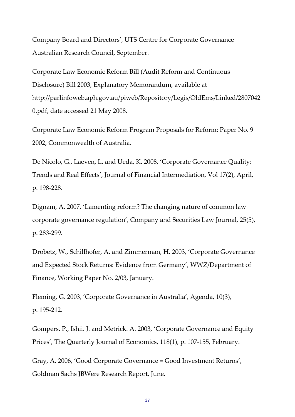Company Board and Directors', UTS Centre for Corporate Governance Australian Research Council, September.

Corporate Law Economic Reform Bill (Audit Reform and Continuous Disclosure) Bill 2003, Explanatory Memorandum, available at http://parlinfoweb.aph.gov.au/piweb/Repository/Legis/OldEms/Linked/2807042 0.pdf, date accessed 21 May 2008.

Corporate Law Economic Reform Program Proposals for Reform: Paper No. 9 2002, Commonwealth of Australia.

De Nicolo, G., Laeven, L. and Ueda, K. 2008, 'Corporate Governance Quality: Trends and Real Effects', Journal of Financial Intermediation, Vol 17(2), April, p. 198‐228.

Dignam, A. 2007, 'Lamenting reform? The changing nature of common law corporate governance regulation', Company and Securities Law Journal, 25(5), p. 283‐299.

Drobetz, W., Schillhofer, A. and Zimmerman, H. 2003, 'Corporate Governance and Expected Stock Returns: Evidence from Germany', WWZ/Department of Finance, Working Paper No. 2/03, January.

Fleming, G. 2003, 'Corporate Governance in Australia', Agenda, 10(3), p. 195‐212.

Gompers. P., Ishii. J. and Metrick. A. 2003, 'Corporate Governance and Equity Prices', The Quarterly Journal of Economics, 118(1), p. 107‐155, February.

Gray, A. 2006, 'Good Corporate Governance = Good Investment Returns', Goldman Sachs JBWere Research Report, June.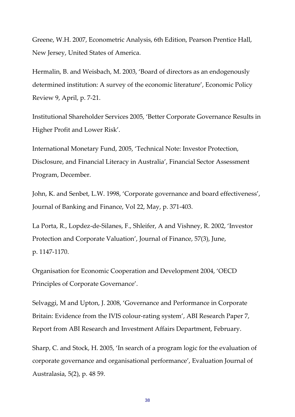Greene, W.H. 2007, Econometric Analysis, 6th Edition, Pearson Prentice Hall, New Jersey, United States of America.

Hermalin, B. and Weisbach, M. 2003, 'Board of directors as an endogenously determined institution: A survey of the economic literature', Economic Policy Review 9, April, p. 7‐21.

Institutional Shareholder Services 2005, 'Better Corporate Governance Results in Higher Profit and Lower Risk'.

International Monetary Fund, 2005, 'Technical Note: Investor Protection, Disclosure, and Financial Literacy in Australia', Financial Sector Assessment Program, December.

John, K. and Senbet, L.W. 1998, 'Corporate governance and board effectiveness', Journal of Banking and Finance, Vol 22, May, p. 371‐403.

La Porta, R., Lopdez‐de‐Silanes, F., Shleifer, A and Vishney, R. 2002, 'Investor Protection and Corporate Valuation', Journal of Finance, 57(3), June, p. 1147‐1170.

Organisation for Economic Cooperation and Development 2004, 'OECD Principles of Corporate Governance'.

Selvaggi, M and Upton, J. 2008, 'Governance and Performance in Corporate Britain: Evidence from the IVIS colour-rating system', ABI Research Paper 7, Report from ABI Research and Investment Affairs Department, February.

Sharp, C. and Stock, H. 2005, 'In search of a program logic for the evaluation of corporate governance and organisational performance', Evaluation Journal of Australasia, 5(2), p. 48 59.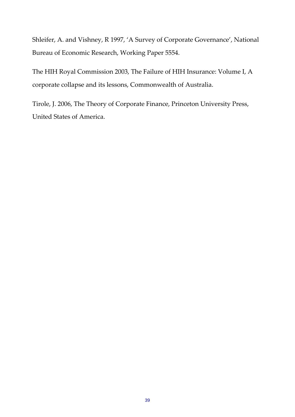Shleifer, A. and Vishney, R 1997, 'A Survey of Corporate Governance', National Bureau of Economic Research, Working Paper 5554.

The HIH Royal Commission 2003, The Failure of HIH Insurance: Volume I, A corporate collapse and its lessons, Commonwealth of Australia.

Tirole, J. 2006, The Theory of Corporate Finance, Princeton University Press, United States of America.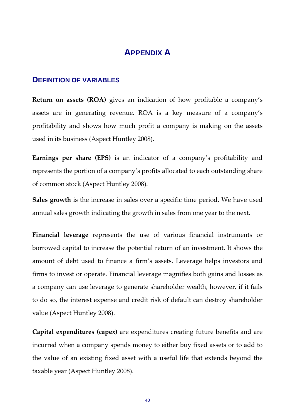## **APPENDIX A**

#### **DEFINITION OF VARIABLES**

**Return on assets (ROA)** gives an indication of how profitable a company's assets are in generating revenue. ROA is a key measure of a company's profitability and shows how much profit a company is making on the assets used in its business (Aspect Huntley 2008).

**Earnings per share (EPS)** is an indicator of a company's profitability and represents the portion of a company's profits allocated to each outstanding share of common stock (Aspect Huntley 2008).

**Sales growth** is the increase in sales over a specific time period. We have used annual sales growth indicating the growth in sales from one year to the next.

**Financial leverage** represents the use of various financial instruments or borrowed capital to increase the potential return of an investment. It shows the amount of debt used to finance a firm's assets. Leverage helps investors and firms to invest or operate. Financial leverage magnifies both gains and losses as a company can use leverage to generate shareholder wealth, however, if it fails to do so, the interest expense and credit risk of default can destroy shareholder value (Aspect Huntley 2008).

**Capital expenditures (capex)** are expenditures creating future benefits and are incurred when a company spends money to either buy fixed assets or to add to the value of an existing fixed asset with a useful life that extends beyond the taxable year (Aspect Huntley 2008).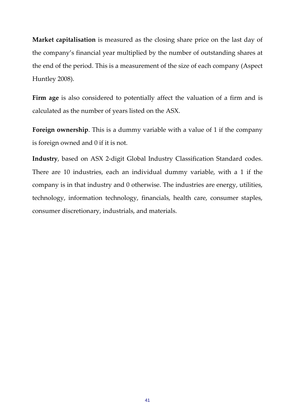**Market capitalisation** is measured as the closing share price on the last day of the company's financial year multiplied by the number of outstanding shares at the end of the period. This is a measurement of the size of each company (Aspect Huntley 2008).

**Firm age** is also considered to potentially affect the valuation of a firm and is calculated as the number of years listed on the ASX.

**Foreign ownership**. This is a dummy variable with a value of 1 if the company is foreign owned and 0 if it is not.

**Industry**, based on ASX 2‐digit Global Industry Classification Standard codes. There are 10 industries, each an individual dummy variable, with a 1 if the company is in that industry and 0 otherwise. The industries are energy, utilities, technology, information technology, financials, health care, consumer staples, consumer discretionary, industrials, and materials.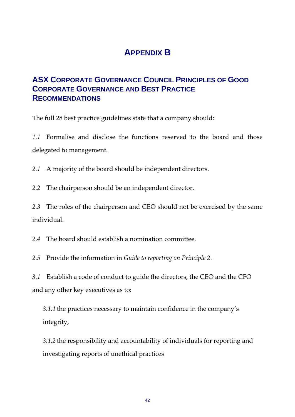# **APPENDIX B**

## **ASX CORPORATE GOVERNANCE COUNCIL PRINCIPLES OF GOOD CORPORATE GOVERNANCE AND BEST PRACTICE RECOMMENDATIONS**

The full 28 best practice guidelines state that a company should:

*1.1* Formalise and disclose the functions reserved to the board and those delegated to management.

*2.1* A majority of the board should be independent directors.

*2.2* The chairperson should be an independent director.

*2.3* The roles of the chairperson and CEO should not be exercised by the same individual.

*2.4* The board should establish a nomination committee.

*2.5* Provide the information in *Guide to reporting on Principle 2*.

*3.1* Establish a code of conduct to guide the directors, the CEO and the CFO and any other key executives as to:

*3.1.1* the practices necessary to maintain confidence in the company's integrity,

*3.1.2* the responsibility and accountability of individuals for reporting and investigating reports of unethical practices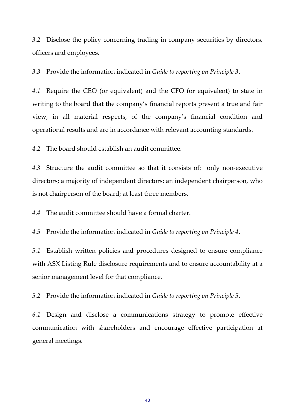*3.2* Disclose the policy concerning trading in company securities by directors, officers and employees.

*3.3* Provide the information indicated in *Guide to reporting on Principle 3*.

*4.1* Require the CEO (or equivalent) and the CFO (or equivalent) to state in writing to the board that the company's financial reports present a true and fair view, in all material respects, of the company's financial condition and operational results and are in accordance with relevant accounting standards.

*4.2* The board should establish an audit committee.

*4.3* Structure the audit committee so that it consists of: only non‐executive directors; a majority of independent directors; an independent chairperson, who is not chairperson of the board; at least three members.

*4.4* The audit committee should have a formal charter.

*4.5* Provide the information indicated in *Guide to reporting on Principle 4*.

*5.1* Establish written policies and procedures designed to ensure compliance with ASX Listing Rule disclosure requirements and to ensure accountability at a senior management level for that compliance.

*5.2* Provide the information indicated in *Guide to reporting on Principle 5*.

*6.1* Design and disclose a communications strategy to promote effective communication with shareholders and encourage effective participation at general meetings.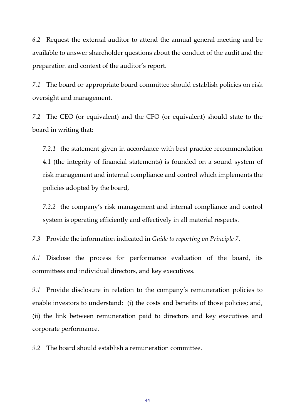*6.2* Request the external auditor to attend the annual general meeting and be available to answer shareholder questions about the conduct of the audit and the preparation and context of the auditor's report.

*7.1* The board or appropriate board committee should establish policies on risk oversight and management.

*7.2* The CEO (or equivalent) and the CFO (or equivalent) should state to the board in writing that:

*7.2.1* the statement given in accordance with best practice recommendation 4.1 (the integrity of financial statements) is founded on a sound system of risk management and internal compliance and control which implements the policies adopted by the board,

*7.2.2* the company's risk management and internal compliance and control system is operating efficiently and effectively in all material respects.

*7.3* Provide the information indicated in *Guide to reporting on Principle 7*.

*8.1* Disclose the process for performance evaluation of the board, its committees and individual directors, and key executives.

*9.1* Provide disclosure in relation to the company's remuneration policies to enable investors to understand: (i) the costs and benefits of those policies; and, (ii) the link between remuneration paid to directors and key executives and corporate performance.

*9.2* The board should establish a remuneration committee.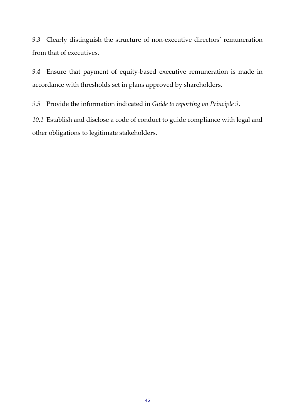*9.3* Clearly distinguish the structure of non‐executive directors' remuneration from that of executives.

*9.4* Ensure that payment of equity‐based executive remuneration is made in accordance with thresholds set in plans approved by shareholders.

*9.5* Provide the information indicated in *Guide to reporting on Principle 9*.

*10.1* Establish and disclose a code of conduct to guide compliance with legal and other obligations to legitimate stakeholders.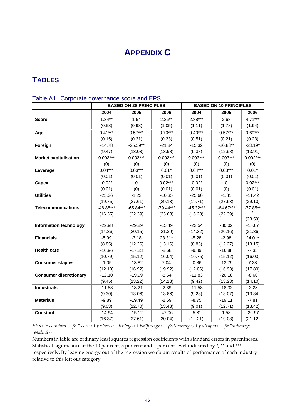# **APPENDIX C**

### **TABLES**

|                               |             | <b>BASED ON 28 PRINCIPLES</b> |             |             | <b>BASED ON 10 PRINCIPLES</b> |            |
|-------------------------------|-------------|-------------------------------|-------------|-------------|-------------------------------|------------|
|                               | 2004        | 2005                          | 2006        | 2004        | 2005                          | 2006       |
| <b>Score</b>                  | $1.34***$   | 1.54                          | $2.36**$    | $2.88***$   | 2.68                          | $4.71***$  |
|                               | (0.58)      | (0.98)                        | (1.05)      | (1.11)      | (1.78)                        | (1.94)     |
| Age                           | $0.41***$   | $0.57***$                     | $0.70***$   | $0.40***$   | $0.57***$                     | $0.69***$  |
|                               | (0.15)      | (0.21)                        | (0.23)      | (0.51)      | (0.21)                        | (0.23)     |
| Foreign                       | $-14.78$    | $-25.59**$                    | $-21.84$    | $-15.32$    | $-26.83**$                    | $-23.19*$  |
|                               | (9.47)      | (13.03)                       | (13.98)     | (9.38)      | (12.98)                       | (13.91)    |
| <b>Market capitalisation</b>  | $0.003***$  | $0.003***$                    | $0.002***$  | $0.003***$  | $0.003***$                    | $0.002***$ |
|                               | (0)         | (0)                           | (0)         | (0)         | (0)                           | (0)        |
| Leverage                      | $0.04***$   | $0.03***$                     | $0.01*$     | $0.04***$   | $0.03***$                     | $0.01*$    |
|                               | (0.01)      | (0.01)                        | (0.01)      | (0.01)      | (0.01)                        | (0.01)     |
| Capex                         | $-0.02*$    | $\Omega$                      | $0.02***$   | $-0.02*$    | $\Omega$                      | $0.02***$  |
|                               | (0.01)      | (0)                           | (0.01)      | (0.01)      | (0)                           | (0.01)     |
| <b>Utilities</b>              | $-25.36$    | $-1.23$                       | $-10.35$    | $-25.60$    | $-1.81$                       | $-11.42$   |
|                               | (19.75)     | (27.61)                       | (29.13)     | (19.71)     | (27.63)                       | (29.10)    |
| <b>Telecommunications</b>     | $-46.88***$ | $-65.84***$                   | $-79.44***$ | $-45.32***$ | $-64.67***$                   | $-77.85**$ |
|                               | (16.35)     | (22.39)                       | (23.63)     | (16.28)     | (22.39)                       | (23.59)    |
| <b>Information technology</b> | $-22.98$    | $-29.89$                      | $-15.49$    | $-22.54$    | $-30.02$                      | $-15.67$   |
|                               | (14.36)     | (20.15)                       | (21.39)     | (14.32)     | (20.16)                       | (21.36)    |
| <b>Financials</b>             | $-5.99$     | $-3.18$                       | 23.31*      | $-5.28$     | $-2.98$                       | 24.01*     |
|                               | (8.85)      | (12.26)                       | (13.16)     | (8.83)      | (12.27)                       | (13.15)    |
| <b>Health care</b>            | $-10.96$    | $-17.23$                      | $-8.68$     | $-9.89$     | $-16.88$                      | $-7.35$    |
|                               | (10.79)     | (15.12)                       | (16.04)     | (10.75)     | (15.12)                       | (16.03)    |
| <b>Consumer staples</b>       | $-1.05$     | $-13.82$                      | 7.04        | $-0.86$     | $-13.79$                      | 7.28       |
|                               | (12.10)     | (16.92)                       | (19.92)     | (12.06)     | (16.93)                       | (17.89)    |
| <b>Consumer discretionary</b> | $-12.10$    | $-19.99$                      | $-8.54$     | $-11.83$    | $-20.18$                      | $-8.60$    |
|                               | (9.45)      | (13.22)                       | (14.13)     | (9.42)      | (13.23)                       | (14.10)    |
| <b>Industrials</b>            | $-11.88$    | $-18.21$                      | $-2.39$     | $-11.58$    | $-18.32$                      | $-2.23$    |
|                               | (9.30)      | (13.06)                       | (13.86)     | (9.28)      | (13.07)                       | (13.84)    |
| <b>Materials</b>              | $-9.89$     | $-19.49$                      | $-8.59$     | $-8.75$     | $-19.11$                      | $-7.81$    |
|                               | (9.03)      | (12.70)                       | (13.43)     | (9.01)      | (12.71)                       | (13.42)    |
| <b>Constant</b>               | $-14.94$    | $-15.12$                      | $-47.06$    | $-5.31$     | 1.58                          | $-26.97$   |
|                               | (16.37)     | (27.61)                       | (30.04)     | (12.21)     | (19.08)                       | (21.12)    |

#### Table A1 Corporate governance score and EPS

 $EPS_{i,t} = constant_i + \beta_{1t} * score_{i,t} + \beta_{2t} * size_{i,t} + \beta_{3t} * age_{i,t} + \beta_{4t} * foreign_{i,t} + \beta_{5t} * leverage_{i,t} + \beta_{6t} * capacity_{i,t} + \beta_{7t} * industry_{i,t} +$ *residual i,t*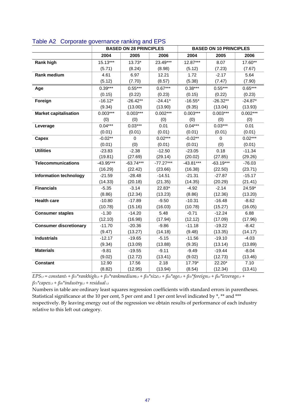|                               |             | <b>BASED ON 28 PRINCIPLES</b> |             |             | <b>BASED ON 10 PRINCIPLES</b> |            |
|-------------------------------|-------------|-------------------------------|-------------|-------------|-------------------------------|------------|
|                               | 2004        | 2005                          | 2006        | 2004        | 2005                          | 2006       |
| <b>Rank high</b>              | $15.13***$  | $13.73*$                      | 23.49***    | 12.87***    | 8.07                          | 17.60**    |
|                               | (5.71)      | (8.24)                        | (8.98)      | (5.12)      | (7.23)                        | (7.67)     |
| <b>Rank medium</b>            | 4.61        | 6.97                          | 12.21       | 1.72        | $-2.17$                       | 5.64       |
|                               | (5.12)      | (7.70)                        | (8.57)      | (5.38)      | (7.47)                        | (7.90)     |
| Age                           | $0.39***$   | $0.55***$                     | $0.67***$   | $0.38***$   | $0.55***$                     | $0.65***$  |
|                               | (0.15)      | (0.22)                        | (0.23)      | (0.15)      | (0.22)                        | (0.23)     |
| Foreign                       | $-16.12*$   | $-26.42**$                    | $-24.41*$   | $-16.55*$   | $-26.32**$                    | $-24.87*$  |
|                               | (9.34)      | (13.00)                       | (13.90)     | (9.35)      | (13.04)                       | (13.93)    |
| <b>Market capitalisation</b>  | $0.003***$  | $0.003***$                    | $0.002***$  | $0.003***$  | $0.003***$                    | $0.002***$ |
|                               | (0)         | (0)                           | (0)         | (0)         | (0)                           | (0)        |
| Leverage                      | $0.04***$   | $0.03***$                     | 0.01        | $0.04***$   | $0.03***$                     | 0.01       |
|                               | (0.01)      | (0.01)                        | (0.01)      | (0.01)      | (0.01)                        | (0.01)     |
| Capex                         | $-0.02**$   | $\mathbf 0$                   | $0.02***$   | $-0.02**$   | $\mathbf 0$                   | $0.02***$  |
|                               | (0.01)      | (0)                           | (0.01)      | (0.01)      | (0)                           | (0.01)     |
| <b>Utilities</b>              | $-23.83$    | $-2.38$                       | $-12.50$    | $-23.05$    | 0.18                          | $-11.34$   |
|                               | (19.81)     | (27.69)                       | (29.14)     | (20.02)     | (27.85)                       | (29.26)    |
| <b>Telecommunications</b>     | $-43.95***$ | $-63.74***$                   | $-77.27***$ | $-43.81***$ | $-63.19***$                   | $-76.03$   |
|                               | (16.29)     | (22.42)                       | (23.66)     | (16.38)     | (22.50)                       | (23.71)    |
| <b>Information technology</b> | $-21.59$    | $-28.48$                      | $-14.51$    | $-21.31$    | $-27.87$                      | $-15.17$   |
|                               | (14.33)     | (20.18)                       | (21.35)     | (14.35)     | (20.29)                       | (21.41)    |
| <b>Financials</b>             | $-5.35$     | $-3.14$                       | 22.83*      | $-4.92$     | $-2.14$                       | 24.59*     |
|                               | (8.86)      | (12.34)                       | (13.23)     | (8.86)      | (12.36)                       | (13.20)    |
| <b>Health care</b>            | $-10.80$    | $-17.89$                      | $-9.50$     | $-10.31$    | $-16.48$                      | $-8.62$    |
|                               | (10.78)     | (15.16)                       | (16.03)     | (10.78)     | (15.27)                       | (16.05)    |
| <b>Consumer staples</b>       | $-1.30$     | $-14.20$                      | 5.48        | $-0.71$     | $-12.24$                      | 6.88       |
|                               | (12.10)     | (16.98)                       | (17.94)     | (12.12)     | (17.09)                       | (17.96)    |
| <b>Consumer discretionary</b> | $-11.70$    | $-20.36$                      | $-9.86$     | $-11.18$    | $-19.22$                      | $-8.42$    |
|                               | (9.47)      | (13.27)                       | (14.18)     | (9.48)      | (13.35)                       | (14.17)    |
| <b>Industrials</b>            | $-12.17$    | $-19.65$                      | $-5.15$     | $-11.56$    | $-19.10$                      | $-4.03$    |
|                               | (9.34)      | (13.09)                       | (13.88)     | (9.35)      | (13.14)                       | (13.89)    |
| <b>Materials</b>              | $-9.81$     | $-19.55$                      | $-9.11$     | $-9.49$     | $-19.44$                      | $-8.04$    |
|                               | (9.02)      | (12.72)                       | (13.41)     | (9.02)      | (12.73)                       | (13.46)    |
| <b>Constant</b>               | 12.90       | 17.56                         | 2.18        | 17.79*      | 22.20*                        | 7.10       |
|                               | (8.82)      | (12.95)                       | (13.94)     | (8.54)      | (12.34)                       | (13.41)    |

| Table A2 Corporate governance ranking and EPS |
|-----------------------------------------------|
|-----------------------------------------------|

 $EPS_{i,t} = constant_t + \beta_{1t} * rankhigh_{i,t} + \beta_{2t} * rankmedium_{i,t} + \beta_{3t} * size_{i,t} + \beta_{4t} * age_{i,t} + \beta_{5t} * foreign_{i,t} + \beta_{6t} * leverage_{i,t} +$ *β7t\*capexi,t + β8t\*industryi,t + residual i,t*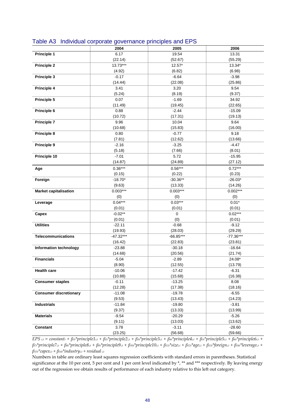|                               | 2004                | 2005                | 2006               |
|-------------------------------|---------------------|---------------------|--------------------|
| Principle 1                   | 6.17                | 19.54               | 13.31              |
|                               | (22.14)             | (52.67)             | (55.29)            |
| <b>Principle 2</b>            | $13.73***$          | $12.57*$            | 13.34*             |
|                               | (4.92)              | (6.82)              | (6.98)             |
| Principle 3                   | $-0.17$             | $-6.64$             | $-3.98$            |
|                               | (14.44)             | (22.08)             | (25.86)            |
| Principle 4                   | 3.41                | 3.20                | 9.54               |
|                               | (5.24)              | (8.19)              | (9.37)             |
| Principle 5                   | 0.07                | $-1.69$             | 34.92              |
|                               | (11.49)             | (19.45)             | (22.65)            |
| Principle 6                   | 0.88                | $-2.44$             | $-15.09$           |
|                               | (10.72)             | (17.31)             | (19.13)            |
| <b>Principle 7</b>            | 9.96                | 10.04               | 9.64               |
|                               | (10.68)             | (15.83)             | (16.00)            |
| Principle 8                   | 0.80                | $-0.77$             | 9.18               |
|                               | (7.81)              | (12.62)             | (13.66)            |
| Principle 9                   | $-2.16$             | $-3.25$             | $-4.47$            |
|                               | (5.18)              | (7.66)              | (8.01)             |
| Principle 10                  | $-7.01$             | 5.72                | $-15.95$           |
|                               | (14.87)             | (24.89)             | (27.12)            |
| Age                           | $0.36***$           | $0.56***$           | $0.72***$          |
|                               | (0.15)              | (0.22)              | (0.23)             |
| Foreign                       | $-18.70*$           | $-30.36**$          | $-26.03*$          |
|                               | (9.63)              | (13.33)             | (14.26)            |
| <b>Market capitalisation</b>  | $0.003***$          | $0.003***$          | $0.002***$         |
|                               | (0)                 | (0)                 | (0)                |
| Leverage                      | $0.04***$           | $0.03***$           | $0.01*$            |
|                               | (0.01)              | (0.01)              | (0.01)             |
| Capex                         | $-0.02**$           | 0                   | $0.02***$          |
|                               | (0.01)              | (0)                 | (0.01)             |
| <b>Utilities</b>              | $-22.11$            | $-0.68$             | $-9.12$            |
|                               | (19.93)             | (28.03)             | (29.29)            |
| <b>Telecommunications</b>     | $-47.32***$         | $-66.85***$         | $-77.36***$        |
|                               | (16.42)             | (22.83)             | (23.81)            |
| Information technology        | $-23.88$            | $-30.18$            | $-16.64$           |
|                               | (14.68)             | (20.56)             | (21.74)            |
| <b>Financials</b>             | $-5.04$             | $-2.89$             | 24.08*             |
|                               | (8.90)              | (12.55)             | (13.79)            |
| <b>Health care</b>            | $-10.06$<br>(10.88) | $-17.42$<br>(15.68) | $-6.31$<br>(16.38) |
|                               | $-0.11$             |                     |                    |
| <b>Consumer staples</b>       | (12.28)             | $-13.25$<br>(17.38) | 8.08<br>(18.16)    |
| <b>Consumer discretionary</b> | $-11.08$            | $-19.78$            | $-6.55$            |
|                               | (9.53)              | (13.43)             | (14.23)            |
| <b>Industrials</b>            | $-11.84$            | $-19.80$            | $-3.81$            |
|                               | (9.37)              | (13.33)             | (13.99)            |
| <b>Materials</b>              | $-9.54$             | $-20.29$            | $-5.26$            |
|                               | (9.11)              | (13.03)             | (13.62)            |
| Constant                      | 3.78                | $-3.11$             | $-28.60$           |
|                               | (23.25)             | (56.68)             | (59.66)            |

#### Table A3 Individual corporate governance principles and EPS

 $EPS_{i,t} = constant_t + \beta u^* principle1_{i,t} + \beta u^* principle2_{i,t} + \beta u^* principle3_{i,t} + \beta u^* principle3_{i,t} + \beta u^* principle4_{i,t} + \beta u^* principle5_{i,t} + \beta u^* principle5_{i,t} + \beta u^*P,$  $\beta n^* principle7_{i,t} + \beta s t^* principle8_{i,t} + \beta s t^* principle9_{i,t} + \beta 10 t^* principle9_{i,t} + \beta 10 t^* principle10_{i,t} + \beta 11 t^*size_{i,t} + \beta 12 t^*age_{i,t} + \beta 13 t^*foreign_{i,t} + \beta 14 t^*leeerage_{i,t} + \beta 12 t^*Beerage_{i,t} + \beta 12 t^*Beerage_{i,t} + \beta 12 t^*Beerage_{i,t} + \beta 12 t^*Beerage_{i,t} + \beta 12 t^*Beerage_{i,t} + \beta 12 t^*Beerage_{$ *β15t\*capexi,t + β16t\*industryi,t + residual i,t*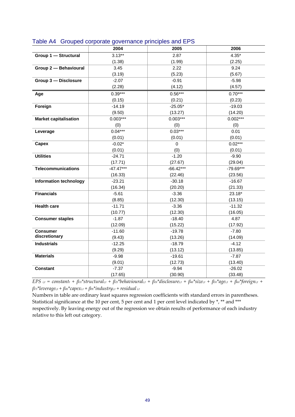|                               | 2004        | 2005        | 2006        |
|-------------------------------|-------------|-------------|-------------|
| Group 1 - Structural          | $3.13**$    | 2.87        | $4.35*$     |
|                               | (1.38)      | (1.99)      | (2.25)      |
| Group 2 - Behavioural         | 3.45        | 2.22        | 9.24        |
|                               | (3.19)      | (5.23)      | (5.67)      |
| Group 3 - Disclosure          | $-2.07$     | $-0.91$     | $-5.98$     |
|                               | (2.28)      | (4.12)      | (4.57)      |
| Age                           | $0.39***$   | $0.56***$   | $0.70***$   |
|                               | (0.15)      | (0.21)      | (0.23)      |
| Foreign                       | $-14.19$    | $-25.05*$   | $-19.03$    |
|                               | (9.50)      | (13.27)     | (14.20)     |
| <b>Market capitalisation</b>  | $0.003***$  | $0.003***$  | $0.002***$  |
|                               | (0)         | (0)         | (0)         |
| Leverage                      | $0.04***$   | $0.03***$   | 0.01        |
|                               | (0.01)      | (0.01)      | (0.01)      |
| Capex                         | $-0.02*$    | $\mathbf 0$ | $0.02***$   |
|                               | (0.01)      | (0)         | (0.01)      |
| <b>Utilities</b>              | $-24.71$    | $-1.20$     | $-9.90$     |
|                               | (17.71)     | (27.67)     | (29.04)     |
| <b>Telecommunications</b>     | $-47.47***$ | $-66.42***$ | $-79.69***$ |
|                               | (16.33)     | (22.46)     | (23.56)     |
| <b>Information technology</b> | $-23.21$    | $-30.18$    | $-16.67$    |
|                               | (16.34)     | (20.20)     | (21.33)     |
| <b>Financials</b>             | $-5.61$     | $-3.36$     | 23.18*      |
|                               | (8.85)      | (12.30)     | (13.15)     |
| <b>Health care</b>            | $-11.71$    | $-3.36$     | $-11.32$    |
|                               | (10.77)     | (12.30)     | (16.05)     |
| <b>Consumer staples</b>       | $-1.87$     | $-18.40$    | 4.87        |
|                               | (12.09)     | (15.22)     | (17.92)     |
| <b>Consumer</b>               | $-11.60$    | $-19.78$    | $-7.80$     |
| discretionary                 | (9.43)      | (13.26)     | (14.09)     |
| <b>Industrials</b>            | $-12.25$    | $-18.79$    | $-4.12$     |
|                               | (9.29)      | (13.12)     | (13.85)     |
| <b>Materials</b>              | $-9.98$     | $-19.61$    | $-7.87$     |
|                               | (9.01)      | (12.73)     | (13.40)     |
| <b>Constant</b>               | $-7.37$     | $-9.94$     | $-26.02$    |
|                               | (17.65)     | (30.90)     | (33.48)     |

#### Table A4 Grouped corporate governance principles and EPS

 $EPS$  i.t = constanti +  $\beta$ 1i\*structurali.t +  $\beta$ 2i\*behaviourali.t +  $\beta$ 3i\*disclosurei,t +  $\beta$ 4i\*sizei,t +  $\beta$ si\*agei,t +  $\beta$ 6i\*foreigni,t + *β7t\*leveragei,t + β8t\*capexi,t + β9t\*industryi,t + residual i,t*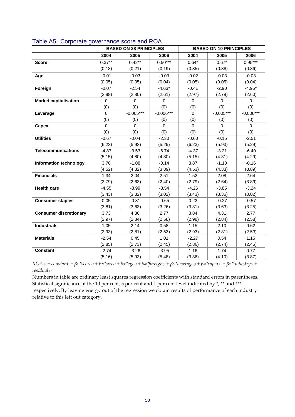|                               | <b>BASED ON 28 PRINCIPLES</b> |             | <b>BASED ON 10 PRINCIPLES</b> |             |             |             |
|-------------------------------|-------------------------------|-------------|-------------------------------|-------------|-------------|-------------|
|                               | 2004                          | 2005        | 2006                          | 2004        | 2005        | 2006        |
| <b>Score</b>                  | $0.37**$                      | $0.42**$    | $0.50***$                     | $0.64*$     | $0.67*$     | $0.95***$   |
|                               | (0.18)                        | (0.21)      | (0.19)                        | (0.35)      | (0.38)      | (0.36)      |
| Age                           | $-0.01$                       | $-0.03$     | $-0.03$                       | $-0.02$     | $-0.03$     | $-0.03$     |
|                               | (0.05)                        | (0.05)      | (0.04)                        | (0.05)      | (0.05)      | (0.04)      |
| Foreign                       | $-0.07$                       | $-2.54$     | $-4.63*$                      | $-0.41$     | $-2.90$     | $-4.95*$    |
|                               | (2.98)                        | (2.80)      | (2.61)                        | (2.97)      | (2.79)      | (2.60)      |
| <b>Market capitalisation</b>  | $\Omega$                      | $\mathbf 0$ | $\mathbf 0$                   | $\mathbf 0$ | $\mathbf 0$ | $\mathbf 0$ |
|                               | (0)                           | (0)         | (0)                           | (0)         | (0)         | (0)         |
| Leverage                      | $\Omega$                      | $-0.005***$ | $-0.006***$                   | 0           | $-0.005***$ | $-0.006***$ |
|                               | (0)                           | (0)         | (0)                           | (0)         | (0)         | (0)         |
| Capex                         | $\Omega$                      | $\mathbf 0$ | $\mathbf 0$                   | 0           | $\Omega$    | $\mathbf 0$ |
|                               | (0)                           | (0)         | (0)                           | (0)         | (0)         | (0)         |
| <b>Utilities</b>              | $-0.67$                       | $-0.04$     | $-2.30$                       | $-0.60$     | $-0.15$     | $-2.51$     |
|                               | (6.22)                        | (5.92)      | (5.29)                        | (6.23)      | (5.93)      | (5.29)      |
| <b>Telecommunications</b>     | $-4.87$                       | $-3.53$     | $-6.74$                       | $-4.37$     | $-3.21$     | $-6.40$     |
|                               | (5.15)                        | (4.80)      | (4.30)                        | (5.15)      | (4.81)      | (4.29)      |
| <b>Information technology</b> | 3.70                          | $-1.08$     | $-0.14$                       | 3.87        | $-1.10$     | $-0.16$     |
|                               | (4.52)                        | (4.32)      | (3.89)                        | (4.53)      | (4.33)      | (3.89)      |
| <b>Financials</b>             | 1.34                          | 2.04        | 2.51                          | 1.52        | 2.08        | 2.64        |
|                               | (2.79)                        | (2.63)      | (2.40)                        | (2.79)      | (2.64)      | (3.89)      |
| <b>Health care</b>            | $-4.55$                       | $-3.99$     | $-3.54$                       | $-4.26$     | $-3.85$     | $-3.24$     |
|                               | (3.43)                        | (3.32)      | (3.02)                        | (3.43)      | (3.36)      | (3.02)      |
| <b>Consumer staples</b>       | 0.05                          | $-0.31$     | $-0.65$                       | 0.22        | $-0.27$     | $-0.57$     |
|                               | (3.81)                        | (3.63)      | (3.26)                        | (3.81)      | (3.63)      | (3.25)      |
| <b>Consumer discretionary</b> | 3.73                          | 4.36        | 2.77                          | 3.84        | 4.31        | 2.77        |
|                               | (2.97)                        | (2.84)      | (2.58)                        | (2.98)      | (2.84)      | (2.58)      |
| <b>Industrials</b>            | 1.05                          | 2.14        | 0.58                          | 1.15        | 2.10        | 0.62        |
|                               | (2.93)                        | (2.81)      | (2.53)                        | (2.93)      | (2.81)      | (2.53)      |
| <b>Materials</b>              | $-2.54$                       | 0.45        | 1.01                          | $-2.27$     | 0.54        | 1.15        |
|                               | (2.85)                        | (2.73)      | (2.45)                        | (2.86)      | (2.74)      | (2.45)      |
| <b>Constant</b>               | $-2.74$                       | $-3.26$     | $-3.95$                       | 1.16        | 1.74        | 0.77        |
|                               | (5.16)                        | (5.93)      | (5.48)                        | (3.86)      | (4.10)      | (3.87)      |

#### Table A5 Corporate governance score and ROA

 $\overline{ROA_{i,t}} = constant_i + \beta_{1t} * score_{i,t} + \beta_{2t} * size_{i,t} + \beta_{3t} * age_{i,t} + \beta_{4t} * foreign_{i,t} + \beta_{5t} * leverage_{i,t} + \beta_{6t} * capex_{i,t} + \beta_{7t} * industry_{i,t} +$ *residual i,t*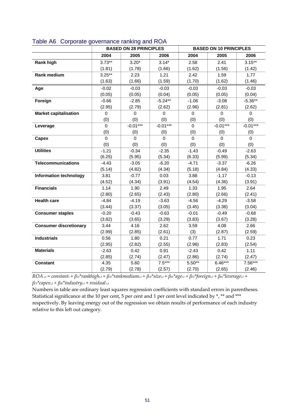|                               | <b>BASED ON 28 PRINCIPLES</b> |                | <b>BASED ON 10 PRINCIPLES</b> |             |             |             |
|-------------------------------|-------------------------------|----------------|-------------------------------|-------------|-------------|-------------|
|                               | 2004                          | 2005           | 2006                          | 2004        | 2005        | 2006        |
| <b>Rank high</b>              | $3.73**$                      | $3.20*$        | $3.14*$                       | 2.58        | 2.41        | $3.15***$   |
|                               | (1.81)                        | (1.78)         | (1.66)                        | (1.62)      | (1.56)      | (1.42)      |
| <b>Rank medium</b>            | $3.25**$                      | 2.23           | 1.21                          | 2.42        | 1.59        | 1.77        |
|                               | (1.63)                        | (1.66)         | (1.59)                        | (1.70)      | (1.62)      | (1.46)      |
| Age                           | $-0.02$                       | $-0.03$        | $-0.03$                       | $-0.03$     | $-0.03$     | $-0.03$     |
|                               | (0.05)                        | (0.05)         | (0.04)                        | (0.05)      | (0.05)      | (0.04)      |
| Foreign                       | $-0.66$                       | $-2.85$        | $-5.24**$                     | $-1.06$     | $-3.08$     | $-5.36**$   |
|                               | (2.95)                        | (2.79)         | (2.62)                        | (2.96)      | (2.81)      | (2.62)      |
| <b>Market capitalisation</b>  | $\mathbf 0$                   | $\mathbf 0$    | 0                             | $\mathbf 0$ | $\mathbf 0$ | $\mathbf 0$ |
|                               | (0)                           | (0)            | (0)                           | (0)         | (0)         | (0)         |
| Leverage                      | $\mathbf 0$                   | $-0.01***$     | $-0.01***$                    | $\mathbf 0$ | $-0.01***$  | $-0.01***$  |
|                               | (0)                           | (0)            | (0)                           | (0)         | (0)         | (0)         |
| Capex                         | $\mathbf 0$                   | $\overline{0}$ | 0                             | $\mathbf 0$ | $\mathbf 0$ | $\mathbf 0$ |
|                               | (0)                           | (0)            | (0)                           | (0)         | (0)         | (0)         |
| <b>Utilities</b>              | $-1.21$                       | $-0.34$        | $-2.35$                       | $-1.43$     | $-0.49$     | $-2.63$     |
|                               | (6.25)                        | (5.95)         | (5.34)                        | (6.33)      | (5.99)      | (5.34)      |
| <b>Telecommunications</b>     | $-4.43$                       | $-3.05$        | $-6.20$                       | $-4.71$     | $-3.37$     | $-6.26$     |
|                               | (5.14)                        | (4.82)         | (4.34)                        | (5.18)      | (4.84)      | (4.33)      |
| <b>Information technology</b> | 3.81                          | $-0.77$        | 0.03                          | 3.88        | $-1.17$     | $-0.13$     |
|                               | (4.52)                        | (4.34)         | (3.91)                        | (4.54)      | (4.36)      | (3.91)      |
| <b>Financials</b>             | 1.14                          | 1.90           | 2.49                          | 1.33        | 1.95        | 2.64        |
|                               | (2.80)                        | (2.65)         | (2.43)                        | (2.80)      | (2.66)      | (2.41)      |
| <b>Health care</b>            | $-4.84$                       | $-4.19$        | $-3.63$                       | $-4.56$     | $-4.29$     | $-3.58$     |
|                               | (3.44)                        | (3.37)         | (3.05)                        | (3.45)      | (3.38)      | (3.04)      |
| <b>Consumer staples</b>       | $-0.20$                       | $-0.43$        | $-0.63$                       | $-0.01$     | $-0.49$     | $-0.68$     |
|                               | (3.82)                        | (3.65)         | (3.29)                        | (3.83)      | (3.67)      | (3.28)      |
| <b>Consumer discretionary</b> | 3.44                          | 4.16           | 2.62                          | 3.59        | 4.08        | 2.66        |
|                               | (2.99)                        | (2.85)         | (2.61)                        | (3)         | (2.87)      | (2.59)      |
| <b>Industrials</b>            | 0.56                          | 1.80           | 0.21                          | 0.77        | 1.71        | 0.23        |
|                               | (2.95)                        | (2.82)         | (2.55)                        | (2.96)      | (2.83)      | (2.54)      |
| <b>Materials</b>              | $-2.63$                       | 0.42           | 0.91                          | $-2.43$     | 0.42        | 1.11        |
|                               | (2.85)                        | (2.74)         | (2.47)                        | (2.86)      | (2.74)      | (2.47)      |
| <b>Constant</b>               | 4.35                          | 5.60           | $7.5***$                      | $5.50**$    | $6.46***$   | 7.56***     |
|                               | (2.79)                        | (2.78)         | (2.57)                        | (2.70)      | (2.65)      | (2.46)      |

#### Table A6 Corporate governance ranking and ROA

 $ROA_{i,t} = constant_t + \beta_{1t} * rankhigh_{i,t} + \beta_{2t} * rankmedian_{i,t} + \beta_{3t} * size_{i,t} + \beta_{4t} * age_{i,t} + \beta_{5t} * foreign_{i,t} + \beta_{6t} * leverage_{i,t} +$ *β7t\*capexi,t + β8t\*industryi,t + residual i,t*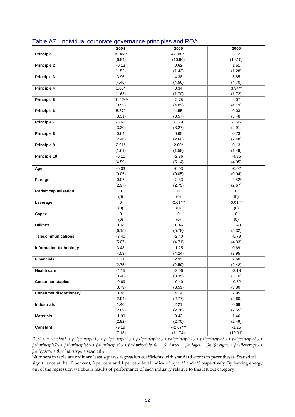|                               |                    | ٠                  |                   |
|-------------------------------|--------------------|--------------------|-------------------|
|                               | 2004               | 2005               | 2006              |
| Principle 1                   | 15.45**            | 47.08***           | 5.12              |
|                               | (6.84)             | (10.90)            | (10.10)           |
| <b>Principle 2</b>            | $-0.13$            | 0.62               | 1.51              |
|                               | (1.52)             | (1.43)             | (1.28)            |
| Principle 3                   | 3.96               | 4.38               | 5.85              |
|                               | (4.46)             | (4.56)             | (4.70)            |
| Principle 4                   | $3.03*$            | 0.34               | $3.94**$          |
|                               | (1.63)             | (1.70)             | (1.72)            |
| Principle 5                   | $-10.42***$        | $-2.75$            | 2.07              |
|                               | (3.55)             | (4.02)             | (4.13)            |
| Principle 6                   | $5.87*$            | 4.55               | 0.03              |
|                               | (3.31)             | (3.57)             | (3.48)            |
| <b>Principle 7</b>            | $-3.66$            | $-3.79$            | $-2.96$           |
|                               | (3.30)             | (3.27)             | (2.91)            |
| Principle 8                   | 0.64               | 0.65               | 0.73              |
|                               | (2.46)             | (2.60)             | (2.48)            |
| Principle 9                   | $2.91*$            | $2.80*$            | 0.13              |
|                               | (1.61)             | (1.58)             | (1.49)            |
| Principle 10                  | $-0.11$            | $-2.36$            | $-4.85$           |
|                               | (4.59)             | (5.14)             | (4.95)            |
| Age                           | $-0.03$            | $-0.03$            | $-0.02$           |
|                               | (0.05)             | (0.05)             | (0.04)            |
| Foreign                       | 0.07               | $-2.33$            | $-4.82*$          |
|                               | (2.97)             | (2.75)             | (2.67)            |
| <b>Market capitalisation</b>  | 0                  | $\pmb{0}$          | $\pmb{0}$         |
|                               |                    | (0)                |                   |
|                               | (0)<br>$\mathbf 0$ | $-0.01***$         | (0)<br>$-0.01***$ |
| Leverage                      | (0)                |                    | (0)               |
|                               | $\mathbf 0$        | (0)<br>$\mathbf 0$ | 0                 |
| Capex                         | (0)                | (0)                | (0)               |
| <b>Utilities</b>              | $-1.65$            | $-0.46$            | $-2.49$           |
|                               | (6.15)             | (5.78)             | (5.32)            |
| <b>Telecommunications</b>     | $-3.40$            | $-2.40$            | $-5.79$           |
|                               | (5.07)             | (4.71)             | (4.33)            |
| Information technology        | 3.48               | $-1.25$            | 0.69              |
|                               | (4.53)             | (4.24)             | (3.95)            |
| <b>Financials</b>             | 1.71               | 2.33               | 2.60              |
|                               | (2.75)             | (2.59)             | (2.42)            |
| <b>Health care</b>            | $-4.15$            | $-2.06$            | $-3.18$           |
|                               | (3.40)             | (3.35)             | (3.10)            |
|                               | $-0.69$            | $-0.40$            | $-0.52$           |
| <b>Consumer staples</b>       | (3.79)             | (3.59)             | (3.30)            |
| <b>Consumer discretionary</b> |                    |                    |                   |
|                               | 3.76<br>(2.94)     | 4.14               | 2.95<br>(2.60)    |
|                               |                    | (2.77)             |                   |
| <b>Industrials</b>            | 1.40               | 2.21               | 0.69              |
|                               | (2.89)             | (2.76)             | (2.55)            |
| <b>Materials</b>              | $-1.99$            | 0.43               | 1.46              |
|                               | (2.82)             | (2.70)             | (2.49)            |
| <b>Constant</b>               | $-9.19$            | $-42.67***$        | $-1.25$           |
|                               | (7.18)             | (11.74)            | (10.91)           |

#### Table A7 Individual corporate governance principles and ROA

 $\overline{ROA_{i,t}} = constant_t + \beta_{1t}$ \*principle1<sub>it</sub> +  $\beta_{2t}$ \*principle2<sub>it</sub> +  $\beta_{3t}$ \*principle3<sub>it</sub> +  $\beta_{4t}$ \*principle4<sub>it</sub> +  $\beta_{5t}$ \*principle5<sub>it</sub> +  $\beta_{6t}$ \*principle6<sub>it</sub> +  $\beta$ <sup>\*</sup>principle7<sub>it</sub> +  $\beta$ st<sup>\*</sup>principle8<sub>it</sub> +  $\beta$ st<sup>\*</sup>principle9<sub>it</sub> +  $\beta$ 10t<sup>\*</sup>principle10<sub>it</sub> +  $\beta$ 11t<sup>\*</sup>size<sub>it</sub> +  $\beta$ 12t<sup>\*</sup>age<sub>it</sub> +  $\beta$ 13t<sup>\*</sup>foreign<sub>it</sub> +  $\beta$ 14t<sup>\*</sup>leverage<sub>it</sub> + *β15t\*capexi,t + β16t\*industryi,t + residual i,t*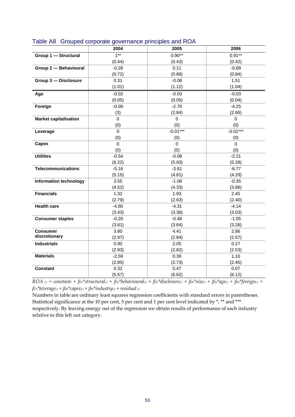|                               | 2004     | 2005       | 2006       |
|-------------------------------|----------|------------|------------|
| Group 1 - Structural          | $1***$   | $0.90**$   | $0.91**$   |
|                               | (0.44)   | (0.43)     | (0.42)     |
| Group 2 - Behavioural         | $-0.28$  | 0.11       | $-0.89$    |
|                               | (0.72)   | (0.88)     | (0.84)     |
| Group 3 - Disclosure          | 0.31     | $-0.08$    | 1.51       |
|                               | (1.01)   | (1.12)     | (1.04)     |
| Age                           | $-0.02$  | $-0.03$    | $-0.03$    |
|                               | (0.05)   | (0.05)     | (0.04)     |
| Foreign                       | $-0.09$  | $-2.70$    | $-4.25$    |
|                               | (3)      | (2.84)     | (2.66)     |
| <b>Market capitalisation</b>  | 0        | 0          | 0          |
|                               | (0)      | (0)        | (0)        |
| Leverage                      | 0        | $-0.01***$ | $-0.01***$ |
|                               | (0)      | (0)        | (0)        |
| Capex                         | $\Omega$ | $\Omega$   | $\Omega$   |
|                               | (0)      | (0)        | (0)        |
| <b>Utilities</b>              | $-0.54$  | $-0.08$    | $-2.21$    |
|                               | (6.22)   | (5.93)     | (5.28)     |
| <b>Telecommunications</b>     | $-5.16$  | $-3.61$    | $-6.77$    |
|                               | (5.15)   | (4.81)     | (4.29)     |
| <b>Information technology</b> | 3.55     | $-1.08$    | $-0.35$    |
|                               | (4.52)   | (4.33)     | (3.88)     |
| <b>Financials</b>             | 1.32     | 1.93       | 2.45       |
|                               | (2.79)   | (2.63)     | (2.40)     |
| <b>Health care</b>            | $-4.80$  | $-4.31$    | $-4.14$    |
|                               | (3.43)   | (3.38)     | (3.03)     |
| <b>Consumer staples</b>       | $-0.20$  | $-0.48$    | $-1.05$    |
|                               | (3.81)   | (3.64)     | (3.26)     |
| <b>Consumer</b>               | 3.80     | 4.41       | 2.86       |
| discretionary                 | (2.97)   | (2.84)     | (2.57)     |
| <b>Industrials</b>            | 0.90     | 2.05       | 0.27       |
|                               | (2.93)   | (2.82)     | (2.53)     |
| <b>Materials</b>              | $-2.59$  | 0.39       | 1.10       |
|                               | (2.85)   | (2.73)     | (2.45)     |
| <b>Constant</b>               | 0.32     | 0.47       | 0.07       |
|                               | (5.57)   | (6.62)     | (6.12)     |

#### Table A8 Grouped corporate governance principles and ROA

 $ROA_{i,t} = constant_t + \beta_{1t}^* structural_{i,t} + \beta_{2t}^* behavioural_{i,t} + \beta_{3t}^* discountal_{i,t} + \beta_{4t}^* size_{i,t} + \beta_{5t}^* age_{i,t} + \beta_{6t}^* for eigen_{i,t} +$ *β7t\*leveragei,t + β8t\*capexi,t + β9t\*industryi,t + residual i,t*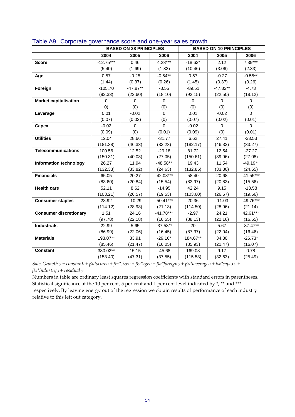|                               | <b>BASED ON 28 PRINCIPLES</b> |             | <b>BASED ON 10 PRINCIPLES</b> |           |             |             |
|-------------------------------|-------------------------------|-------------|-------------------------------|-----------|-------------|-------------|
|                               | 2004                          | 2005        | 2006                          | 2004      | 2005        | 2006        |
| <b>Score</b>                  | $-12.75***$                   | 0.46        | $4.28***$                     | $-18.63*$ | 2.12        | $7.39***$   |
|                               | (5.40)                        | (1.69)      | (1.32)                        | (10.46)   | (3.06)      | (2.33)      |
| Age                           | 0.57                          | $-0.25$     | $-0.54**$                     | 0.57      | $-0.27$     | $-0.55**$   |
|                               | (1.44)                        | (0.37)      | (0.26)                        | (1.45)    | (0.37)      | (0.26)      |
| Foreign                       | $-105.70$                     | $-47.87**$  | $-3.55$                       | $-89.51$  | $-47.82**$  | $-4.73$     |
|                               | (92.33)                       | (22.60)     | (18.10)                       | (92.15)   | (22.50)     | (18.12)     |
| <b>Market capitalisation</b>  | $\Omega$                      | $\Omega$    | $\Omega$                      | $\Omega$  | $\Omega$    | $\Omega$    |
|                               | (0)                           | (0)         | (0)                           | (0)       | (0)         | (0)         |
| Leverage                      | 0.01                          | $-0.02$     | $\Omega$                      | 0.01      | $-0.02$     | $\Omega$    |
|                               | (0.07)                        | (0.02)      | (0)                           | (0.07)    | (0.02)      | (0.01)      |
| Capex                         | $-0.02$                       | $\mathbf 0$ | $\mathbf 0$                   | $-0.02$   | $\mathbf 0$ | $\Omega$    |
|                               | (0.09)                        | (0)         | (0.01)                        | (0.09)    | (0)         | (0.01)      |
| <b>Utilities</b>              | 12.04                         | 28.66       | $-31.77$                      | 6.62      | 27.41       | $-33.53$    |
|                               | (181.38)                      | (46.33)     | (33.23)                       | (182.17)  | (46.32)     | (33.27)     |
| <b>Telecommunications</b>     | 100.56                        | 12.52       | $-29.18$                      | 81.72     | 12.54       | $-27.27$    |
|                               | (150.31)                      | (40.03)     | (27.05)                       | (150.61)  | (39.96)     | (27.08)     |
| <b>Information technology</b> | 26.27                         | 11.94       | $-48.58**$                    | 19.43     | 11.54       | $-49.19**$  |
|                               | (132.33)                      | (33.82)     | (24.63)                       | (132.85)  | (33.80)     | (24.65)     |
| <b>Financials</b>             | 65.05                         | 20.27       | $-42.08***$                   | 58.40     | 20.68       | $-41.55***$ |
|                               | (83.60)                       | (20.84)     | (15.54)                       | (83.97)   | (20.83)     | (15.56)     |
| <b>Health care</b>            | 52.11                         | 8.62        | $-14.95$                      | 42.24     | 9.15        | $-13.58$    |
|                               | (103.21)                      | (26.57)     | (19.53)                       | (103.60)  | (26.57)     | (19.56)     |
| <b>Consumer staples</b>       | 28.92                         | $-10.29$    | $-50.41***$                   | 20.36     | $-11.03$    | $-49.76***$ |
|                               | (114.12)                      | (28.98)     | (21.13)                       | (114.50)  | (28.96)     | (21.14)     |
| <b>Consumer discretionary</b> | 1.51                          | 24.16       | $-41.78***$                   | $-2.97$   | 24.21       | 42.61***    |
|                               | (97.78)                       | (22.18)     | (16.55)                       | (88.13)   | (22.16)     | (16.55)     |
| <b>Industrials</b>            | 22.99                         | 5.65        | $-37.53**$                    | 20        | 5.67        | $-37.47**$  |
|                               | (86.99)                       | (22.06)     | (16.45)                       | (87.37)   | (22.04)     | (16.46)     |
| <b>Materials</b>              | 193.07**                      | 33.91       | $-29.16*$                     | 184.67**  | 34.30       | $-26.73*$   |
|                               | (85.46)                       | (21.47)     | (16.05)                       | (85.93)   | (21.47)     | (16.07)     |
| <b>Constant</b>               | 330.02**                      | 15.15       | $-45.68$                      | 169.08    | 9.17        | 0.78        |
|                               | (153.40)                      | (47.31)     | (37.55)                       | (115.53)  | (32.63)     | (25.49)     |

#### Table A9 Corporate governance score and one-year sales growth

SalesGrowth i,t = constanti +  $\beta_{1i}$ \*scorei,t +  $\beta_{2i}$ \*sizei,t +  $\beta_{3i}$ \*agei,t +  $\beta_{4i}$ \*foreigni,t +  $\beta_{5i}$ \*leveragei,t +  $\beta_{6i}$ \*capexi,t + *β7t\*industryi,t + residual i,t*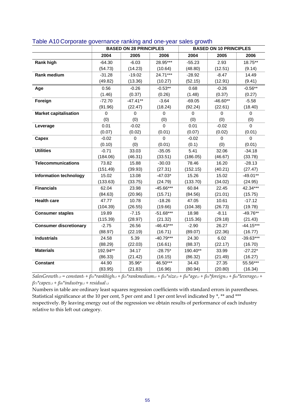|                               | <b>BASED ON 28 PRINCIPLES</b> |            | <b>BASED ON 10 PRINCIPLES</b> |          |            |             |
|-------------------------------|-------------------------------|------------|-------------------------------|----------|------------|-------------|
|                               | 2004                          | 2005       | 2006                          | 2004     | 2005       | 2006        |
| Rank high                     | $-64.30$                      | $-6.03$    | 28.95***                      | $-55.23$ | 2.93       | 18.75**     |
|                               | (54.73)                       | (14.23)    | (10.64)                       | (48.80)  | (12.51)    | (9.14)      |
| Rank medium                   | $-31.28$                      | $-19.02$   | 24.71***                      | $-28.92$ | $-8.47$    | 14.49       |
|                               | (49.82)                       | (13.36)    | (10.27)                       | (52.15)  | (12.91)    | (9.41)      |
| Age                           | 0.56                          | $-0.26$    | $-0.53**$                     | 0.68     | $-0.26$    | $-0.56**$   |
|                               | (1.46)                        | (0.37)     | (0.26)                        | (1.48)   | (0.37)     | (0.27)      |
| Foreign                       | $-72.70$                      | $-47.41**$ | $-3.64$                       | $-69.05$ | $-46.60**$ | $-5.58$     |
|                               | (91.96)                       | (22.47)    | (18.24)                       | (92.24)  | (22.61)    | (18.40)     |
| <b>Market capitalisation</b>  | 0                             | $\Omega$   | $\Omega$                      | $\Omega$ | $\Omega$   | $\Omega$    |
|                               | (0)                           | (0)        | (0)                           | (0)      | (0)        | (0)         |
| Leverage                      | 0.01                          | $-0.02$    | 0                             | 0.01     | $-0.02$    | $\mathbf 0$ |
|                               | (0.07)                        | (0.02)     | (0.01)                        | (0.07)   | (0.02)     | (0.01)      |
| Capex                         | $-0.02$                       | 0          | 0                             | $-0.02$  | $\Omega$   | $\Omega$    |
|                               | (0.10)                        | (0)        | (0.01)                        | (0.1)    | (0)        | (0.01)      |
| <b>Utilities</b>              | $-0.71$                       | 33.03      | $-35.05$                      | 5.41     | 32.06      | $-34.18$    |
|                               | (184.06)                      | (46.31)    | (33.51)                       | (186.05) | (46.67)    | (33.78)     |
| <b>Telecommunications</b>     | 73.82                         | 15.88      | $-30.03$                      | 78.46    | 16.20      | $-28.13$    |
|                               | (151.49)                      | (39.93)    | (27.31)                       | (152.15) | (40.21)    | (27.47)     |
| <b>Information technology</b> | 15.02                         | 13.08      | $-47.03*$                     | 15.26    | 15.02      | $-49.01**$  |
|                               | (133.63)                      | (33.75)    | (24.79)                       | (133.70) | (34.02)    | (24.95)     |
| <b>Financials</b>             | 62.04                         | 23.98      | $-45.66***$                   | 60.84    | 22.45      | 42.34***    |
|                               | (84.63)                       | (20.96)    | (15.71)                       | (84.56)  | (21.01)    | (15.75)     |
| <b>Health care</b>            | 47.77                         | 10.78      | $-18.26$                      | 47.05    | 10.61      | $-17.12$    |
|                               | (104.39)                      | (26.55)    | (19.66)                       | (104.38) | (26.73)    | (19.78)     |
| <b>Consumer staples</b>       | 19.89                         | $-7.15$    | $-51.68***$                   | 18.98    | $-8.11$    | $-49.76**$  |
|                               | (115.39)                      | (28.97)    | (21.32)                       | (115.36) | (29.18)    | (21.43)     |
| <b>Consumer discretionary</b> | $-2.75$                       | 26.56      | $-46.43***$                   | $-2.90$  | 26.27      | $-44.15***$ |
|                               | (88.97)                       | (22.19)    | (16.71)                       | (89.07)  | (22.36)    | (16.77)     |
| <b>Industrials</b>            | 24.58                         | 5.39       | $-40.79***$                   | 24.30    | 6.02       | $-39.63***$ |
|                               | (88.29)                       | (22.03)    | (16.61)                       | (88.37)  | (22.17)    | (16.70)     |
| <b>Materials</b>              | 192.94**                      | 34.17      | $-28.75*$                     | 190.40** | 33.99      | $-27.22*$   |
|                               | (86.33)                       | (21.42)    | (16.15)                       | (86.32)  | (21.49)    | (16.27)     |
| <b>Constant</b>               | 44.90                         | 35.96*     | 46.50***                      | 34.43    | 27.35      | 55.56***    |
|                               | (83.95)                       | (21.83)    | (16.96)                       | (80.94)  | (20.80)    | (16.34)     |

#### Table A10 Corporate governance ranking and one-year sales growth

SalesGrowth i,t = constanti +  $\beta u^*$ rankhighi,t +  $\beta u^*$ rankmediumi,t +  $\beta u^*$ sizei,t +  $\beta u^*$ agei,t +  $\beta u^*$ foreigni,t +  $\beta u^*$ leveragei,t + *β7t\*capexi,t + β8t\*industryi,t + residual i,t*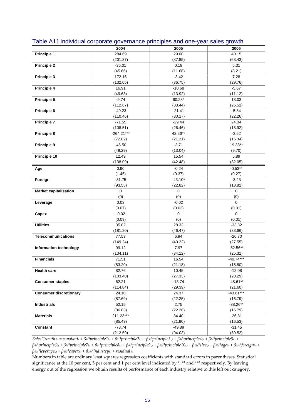|                               | 2004                 | 2005            | 2006                  |
|-------------------------------|----------------------|-----------------|-----------------------|
| <b>Principle 1</b>            | 284.69               | 29.00           | 40.15                 |
|                               | (201.37)             | (87.85)         | (63.43)               |
| <b>Principle 2</b>            | $-36.01$             | 0.18            | 5.31                  |
|                               | (45.66)              | (11.68)         | (8.21)                |
| Principle 3                   | 172.16               | $-3.42$         | 7.28                  |
|                               | (132.05)             | (36.75)         | (29.76)               |
| Principle 4                   | 16.91                | $-10.68$        | $-5.67$               |
|                               | (49.63)              | (13.92)         | (11.12)               |
| Principle 5                   | $-9.74$              | 60.28*          | 18.03                 |
|                               | (112.67)             | (33.44)         | (26.51)               |
| Principle 6                   | $-49.23$             | $-21.41$        | $-5.84$               |
|                               | (110.46)             | (30.17)         | (22.26)               |
| <b>Principle 7</b>            | $-71.55$             | $-29.44$        | 24.34                 |
|                               | (108.51)             | (26.46)         | (18.92)               |
| Principle 8                   | $-264.21***$         | 42.26**         | $-3.62$               |
|                               | (72.82)              | (21.21)         | (16.34)               |
| Principle 9                   | $-46.50$             | $-3.71$         | 19.38**               |
|                               | (49.29)              | (13.04)         | (9.70)                |
| Principle 10                  | 12.49                | 15.54           | 5.89                  |
|                               | (138.09)             | (42.48)         | (32.05)               |
| Age                           | 0.90                 | $-0.24$         | $-0.53**$             |
|                               | (1.45)               | (0.37)          | (0.27)                |
| Foreign                       | $-81.75$             | $-43.10*$       | $-3.23$               |
|                               | (93.55)              | (22.82)         | (18.82)               |
| <b>Market capitalisation</b>  | 0                    | $\mathbf 0$     | $\mathbf 0$           |
|                               | (0)                  | (0)             | (0)                   |
| Leverage                      | 0.03                 | $-0.02$         | $\mathbf 0$           |
|                               | (0.07)               | (0.02)          | (0.01)                |
| Capex                         | $-0.02$              | $\mathbf{0}$    | $\mathbf 0$           |
|                               | (0.09)               | (0)             | (0.01)                |
| <b>Utilities</b>              | 35.02                | 28.32           | $-33.82$              |
|                               | (181.20)             | (46.47)         | (33.66)               |
| Telecommunications            | 77.53                | 6.94            | $-26.70$              |
|                               | (149.24)             | (40.22)         | (27.55)               |
| Information technology        | 99.12                | 7.97            | $-52.56**$            |
|                               | (134.11)             | (34.12)         | (25.31)               |
| <b>Financials</b>             | 71.51                | 16.54           | $-40.74***$           |
|                               | (83.20)              | (21.18)         | (15.80)               |
| <b>Health care</b>            | 82.76                | 10.45           | $-12.08$              |
|                               | (103.40)             | (27.33)         | (20.29)               |
| <b>Consumer staples</b>       | 62.21                | $-13.74$        | $-48.61**$            |
|                               | (114.84)             | (29.39)         | (21.60)               |
| <b>Consumer discretionary</b> | 24.10<br>(87.69)     | 24.37           | $-43.61***$           |
| <b>Industrials</b>            | 52.15                | (22.25)<br>2.75 | (16.79)<br>$-38.26**$ |
|                               |                      | (22.26)         |                       |
| <b>Materials</b>              | (86.83)<br>211.23*** | 34.40           | (16.79)<br>$-26.31$   |
|                               | (85.43)              | (21.80)         | (16.53)               |
| <b>Constant</b>               | $-78.74$             | $-49.89$        | $-31.45$              |
|                               | (212.69)             | (94.03)         | (69.52)               |
|                               |                      |                 |                       |

#### Table A11 Individual corporate governance principles and one-year sales growth

SalesGrowth i,t = constanti +  $\beta u^*principle 1_{i,t} + \beta u^*principle 2_{i,t} + \beta u^*principle 3_{i,t} + \beta u^*principle 4_{i,t} + \beta s^*principle 5_{i,t} +$  $\beta_{6t} * principle6_{i,t} + \beta_{7t} * principle7_{i,t} + \beta_{8t} * principle8_{i,t} + \beta_{9t} * principle9_{i,t} + \beta_{10t} * principle10_{i,t} + \beta_{11t} * size_{i,t} + \beta_{12t} * age_{i,t} + \beta_{13t} * foreign_{i,t} +$ *β14t\*leveragei,t + β15t\*capexi,t + β16t\*industryi,t + residual i,t*